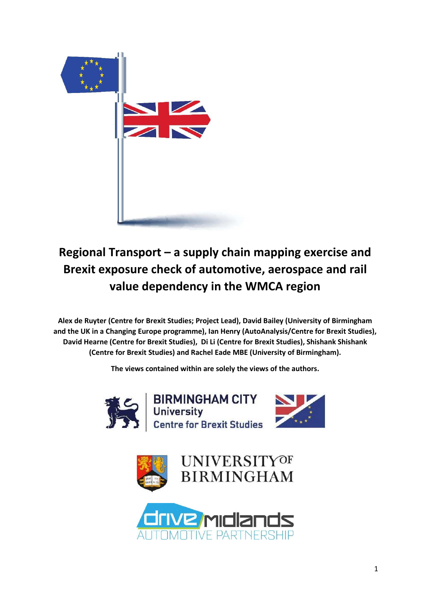

# **Regional Transport – a supply chain mapping exercise and Brexit exposure check of automotive, aerospace and rail value dependency in the WMCA region**

**Alex de Ruyter (Centre for Brexit Studies; Project Lead), David Bailey (University of Birmingham and the UK in a Changing Europe programme), Ian Henry (AutoAnalysis/Centre for Brexit Studies), David Hearne (Centre for Brexit Studies), Di Li (Centre for Brexit Studies), Shishank Shishank (Centre for Brexit Studies) and Rachel Eade MBE (University of Birmingham).** 

**The views contained within are solely the views of the authors.** 







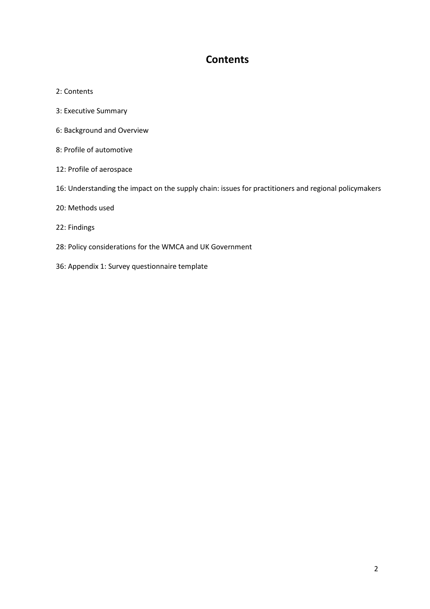# **Contents**

- 2: Contents
- 3: Executive Summary
- 6: Background and Overview
- 8: Profile of automotive
- 12: Profile of aerospace
- 16: Understanding the impact on the supply chain: issues for practitioners and regional policymakers
- 20: Methods used
- 22: Findings
- 28: Policy considerations for the WMCA and UK Government
- 36: Appendix 1: Survey questionnaire template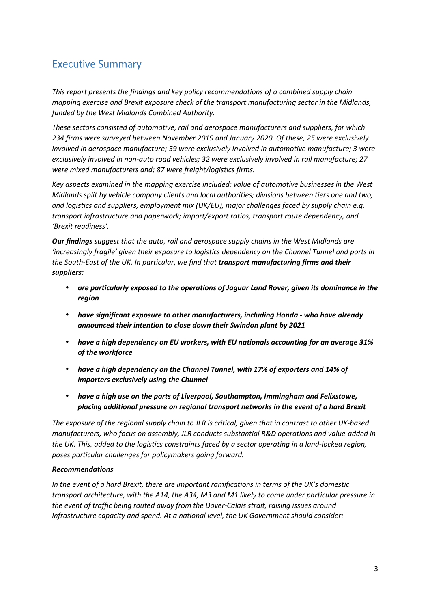# Executive Summary

*This report presents the findings and key policy recommendations of a combined supply chain mapping exercise and Brexit exposure check of the transport manufacturing sector in the Midlands, funded by the West Midlands Combined Authority.* 

*These sectors consisted of automotive, rail and aerospace manufacturers and suppliers, for which 234 firms were surveyed between November 2019 and January 2020. Of these, 25 were exclusively involved in aerospace manufacture; 59 were exclusively involved in automotive manufacture; 3 were exclusively involved in non-auto road vehicles; 32 were exclusively involved in rail manufacture; 27 were mixed manufacturers and; 87 were freight/logistics firms.* 

*Key aspects examined in the mapping exercise included: value of automotive businesses in the West Midlands split by vehicle company clients and local authorities; divisions between tiers one and two, and logistics and suppliers, employment mix (UK/EU), major challenges faced by supply chain e.g. transport infrastructure and paperwork; import/export ratios, transport route dependency, and 'Brexit readiness'.* 

*Our findings suggest that the auto, rail and aerospace supply chains in the West Midlands are 'increasingly fragile' given their exposure to logistics dependency on the Channel Tunnel and ports in the South-East of the UK. In particular, we find that transport manufacturing firms and their suppliers:* 

- *are particularly exposed to the operations of Jaguar Land Rover, given its dominance in the region*
- *have significant exposure to other manufacturers, including Honda who have already announced their intention to close down their Swindon plant by 2021*
- *have a high dependency on EU workers, with EU nationals accounting for an average 31% of the workforce*
- *have a high dependency on the Channel Tunnel, with 17% of exporters and 14% of importers exclusively using the Chunnel*
- *have a high use on the ports of Liverpool, Southampton, Immingham and Felixstowe, placing additional pressure on regional transport networks in the event of a hard Brexit*

*The exposure of the regional supply chain to JLR is critical, given that in contrast to other UK-based manufacturers, who focus on assembly, JLR conducts substantial R&D operations and value-added in the UK. This, added to the logistics constraints faced by a sector operating in a land-locked region, poses particular challenges for policymakers going forward.* 

## *Recommendations*

*In the event of a hard Brexit, there are important ramifications in terms of the UK's domestic transport architecture, with the A14, the A34, M3 and M1 likely to come under particular pressure in the event of traffic being routed away from the Dover-Calais strait, raising issues around infrastructure capacity and spend. At a national level, the UK Government should consider:*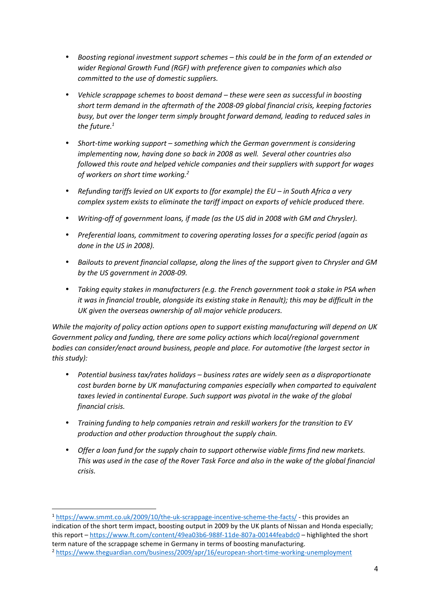- *Boosting regional investment support schemes this could be in the form of an extended or wider Regional Growth Fund (RGF) with preference given to companies which also committed to the use of domestic suppliers.*
- *Vehicle scrappage schemes to boost demand these were seen as successful in boosting short term demand in the aftermath of the 2008-09 global financial crisis, keeping factories busy, but over the longer term simply brought forward demand, leading to reduced sales in the future.<sup>1</sup>*
- *Short-time working support something which the German government is considering implementing now, having done so back in 2008 as well. Several other countries also followed this route and helped vehicle companies and their suppliers with support for wages of workers on short time working.<sup>2</sup>*
- *Refunding tariffs levied on UK exports to (for example) the EU in South Africa a very complex system exists to eliminate the tariff impact on exports of vehicle produced there.*
- *Writing-off of government loans, if made (as the US did in 2008 with GM and Chrysler).*
- *Preferential loans, commitment to covering operating losses for a specific period (again as done in the US in 2008).*
- *Bailouts to prevent financial collapse, along the lines of the support given to Chrysler and GM by the US government in 2008-09.*
- *Taking equity stakes in manufacturers (e.g. the French government took a stake in PSA when it was in financial trouble, alongside its existing stake in Renault); this may be difficult in the UK given the overseas ownership of all major vehicle producers.*

*While the majority of policy action options open to support existing manufacturing will depend on UK Government policy and funding, there are some policy actions which local/regional government bodies can consider/enact around business, people and place. For automotive (the largest sector in this study):* 

- *Potential business tax/rates holidays business rates are widely seen as a disproportionate cost burden borne by UK manufacturing companies especially when comparted to equivalent*  taxes levied in continental Europe. Such support was pivotal in the wake of the global *financial crisis.*
- *Training funding to help companies retrain and reskill workers for the transition to EV production and other production throughout the supply chain.*
- *Offer a loan fund for the supply chain to support otherwise viable firms find new markets. This was used in the case of the Rover Task Force and also in the wake of the global financial crisis.*

 $\overline{a}$ 

<sup>1</sup> https://www.smmt.co.uk/2009/10/the-uk-scrappage-incentive-scheme-the-facts/ - this provides an indication of the short term impact, boosting output in 2009 by the UK plants of Nissan and Honda especially; this report – https://www.ft.com/content/49ea03b6-988f-11de-807a-00144feabdc0 – highlighted the short term nature of the scrappage scheme in Germany in terms of boosting manufacturing. <sup>2</sup> https://www.theguardian.com/business/2009/apr/16/european-short-time-working-unemployment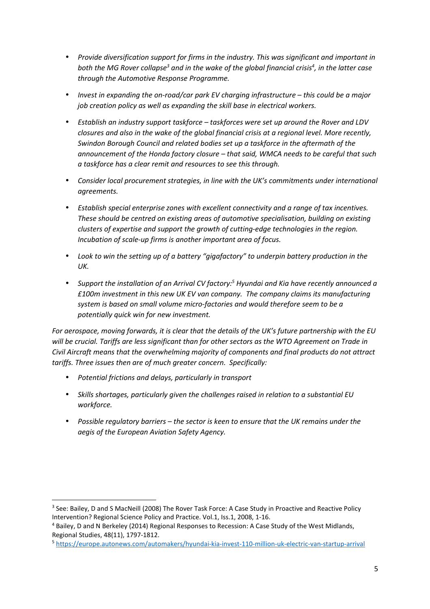- *Provide diversification support for firms in the industry. This was significant and important in*  both the MG Rover collapse<sup>3</sup> and in the wake of the global financial crisis<sup>4</sup>, in the latter case *through the Automotive Response Programme.*
- *Invest in expanding the on-road/car park EV charging infrastructure this could be a major job creation policy as well as expanding the skill base in electrical workers.*
- *Establish an industry support taskforce taskforces were set up around the Rover and LDV closures and also in the wake of the global financial crisis at a regional level. More recently, Swindon Borough Council and related bodies set up a taskforce in the aftermath of the announcement of the Honda factory closure – that said, WMCA needs to be careful that such a taskforce has a clear remit and resources to see this through.*
- *Consider local procurement strategies, in line with the UK's commitments under international agreements.*
- *Establish special enterprise zones with excellent connectivity and a range of tax incentives. These should be centred on existing areas of automotive specialisation, building on existing clusters of expertise and support the growth of cutting-edge technologies in the region. Incubation of scale-up firms is another important area of focus.*
- *Look to win the setting up of a battery "gigafactory" to underpin battery production in the UK.*
- **•** Support the installation of an Arrival CV factory:<sup>5</sup> Hyundai and Kia have recently announced a *£100m investment in this new UK EV van company. The company claims its manufacturing system is based on small volume micro-factories and would therefore seem to be a potentially quick win for new investment.*

*For aerospace, moving forwards, it is clear that the details of the UK's future partnership with the EU will be crucial. Tariffs are less significant than for other sectors as the WTO Agreement on Trade in Civil Aircraft means that the overwhelming majority of components and final products do not attract tariffs. Three issues then are of much greater concern. Specifically:* 

• *Potential frictions and delays, particularly in transport* 

l

- *Skills shortages, particularly given the challenges raised in relation to a substantial EU workforce.*
- *Possible regulatory barriers the sector is keen to ensure that the UK remains under the aegis of the European Aviation Safety Agency.*

<sup>&</sup>lt;sup>3</sup> See: Bailey, D and S MacNeill (2008) The Rover Task Force: A Case Study in Proactive and Reactive Policy Intervention? Regional Science Policy and Practice. Vol.1, Iss.1, 2008, 1-16.

<sup>&</sup>lt;sup>4</sup> Bailey, D and N Berkeley (2014) Regional Responses to Recession: A Case Study of the West Midlands, Regional Studies, 48(11), 1797-1812.

<sup>5</sup> https://europe.autonews.com/automakers/hyundai-kia-invest-110-million-uk-electric-van-startup-arrival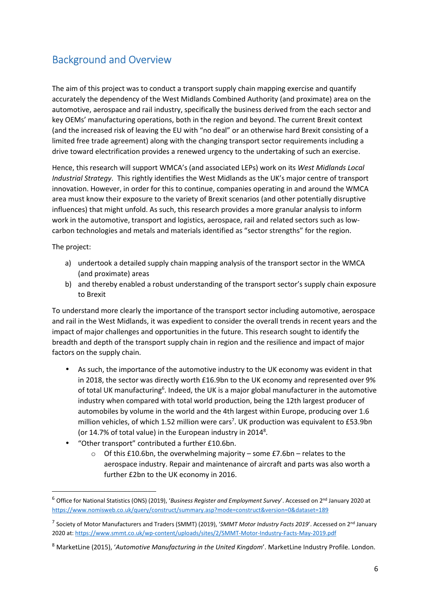# Background and Overview

The aim of this project was to conduct a transport supply chain mapping exercise and quantify accurately the dependency of the West Midlands Combined Authority (and proximate) area on the automotive, aerospace and rail industry, specifically the business derived from the each sector and key OEMs' manufacturing operations, both in the region and beyond. The current Brexit context (and the increased risk of leaving the EU with "no deal" or an otherwise hard Brexit consisting of a limited free trade agreement) along with the changing transport sector requirements including a drive toward electrification provides a renewed urgency to the undertaking of such an exercise.

Hence, this research will support WMCA's (and associated LEPs) work on its *West Midlands Local Industrial Strategy*. This rightly identifies the West Midlands as the UK's major centre of transport innovation. However, in order for this to continue, companies operating in and around the WMCA area must know their exposure to the variety of Brexit scenarios (and other potentially disruptive influences) that might unfold. As such, this research provides a more granular analysis to inform work in the automotive, transport and logistics, aerospace, rail and related sectors such as lowcarbon technologies and metals and materials identified as "sector strengths" for the region.

The project:

l

- a) undertook a detailed supply chain mapping analysis of the transport sector in the WMCA (and proximate) areas
- b) and thereby enabled a robust understanding of the transport sector's supply chain exposure to Brexit

To understand more clearly the importance of the transport sector including automotive, aerospace and rail in the West Midlands, it was expedient to consider the overall trends in recent years and the impact of major challenges and opportunities in the future. This research sought to identify the breadth and depth of the transport supply chain in region and the resilience and impact of major factors on the supply chain.

- As such, the importance of the automotive industry to the UK economy was evident in that in 2018, the sector was directly worth £16.9bn to the UK economy and represented over 9% of total UK manufacturing<sup>6</sup>. Indeed, the UK is a major global manufacturer in the automotive industry when compared with total world production, being the 12th largest producer of automobiles by volume in the world and the 4th largest within Europe, producing over 1.6 million vehicles, of which 1.52 million were cars<sup>7</sup>. UK production was equivalent to £53.9bn (or 14.7% of total value) in the European industry in 2014<sup>8</sup>.
- "Other transport" contributed a further £10.6bn.
	- o Of this £10.6bn, the overwhelming majority some £7.6bn relates to the aerospace industry. Repair and maintenance of aircraft and parts was also worth a further £2bn to the UK economy in 2016.

<sup>6</sup> Office for National Statistics (ONS) (2019), '*Business Register and Employment Survey*'. Accessed on 2nd January 2020 at https://www.nomisweb.co.uk/query/construct/summary.asp?mode=construct&version=0&dataset=189

<sup>&</sup>lt;sup>7</sup> Society of Motor Manufacturers and Traders (SMMT) (2019), 'SMMT Motor Industry Facts 2019'. Accessed on 2<sup>nd</sup> January 2020 at: https://www.smmt.co.uk/wp-content/uploads/sites/2/SMMT-Motor-Industry-Facts-May-2019.pdf

<sup>8</sup> MarketLine (2015), '*Automotive Manufacturing in the United Kingdom*'. MarketLine Industry Profile. London.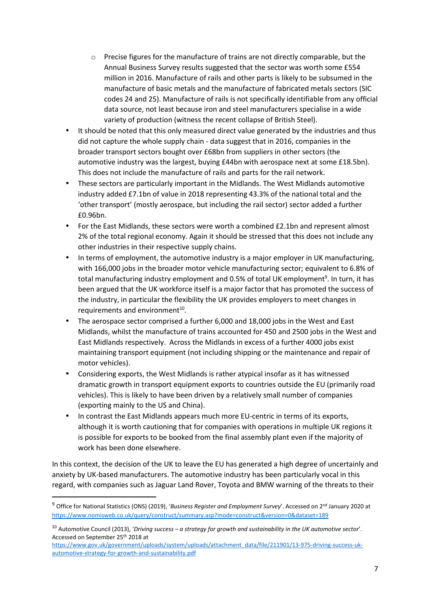- $\circ$  Precise figures for the manufacture of trains are not directly comparable, but the Annual Business Survey results suggested that the sector was worth some £554 million in 2016. Manufacture of rails and other parts is likely to be subsumed in the manufacture of basic metals and the manufacture of fabricated metals sectors (SIC codes 24 and 25). Manufacture of rails is not specifically identifiable from any official data source, not least because iron and steel manufacturers specialise in a wide variety of production (witness the recent collapse of British Steel).
- It should be noted that this only measured direct value generated by the industries and thus did not capture the whole supply chain - data suggest that in 2016, companies in the broader transport sectors bought over £68bn from suppliers in other sectors (the automotive industry was the largest, buying £44bn with aerospace next at some £18.5bn). This does not include the manufacture of rails and parts for the rail network.
- These sectors are particularly important in the Midlands. The West Midlands automotive industry added £7.1bn of value in 2018 representing 43.3% of the national total and the 'other transport' (mostly aerospace, but including the rail sector) sector added a further £0.96bn.
- For the East Midlands, these sectors were worth a combined £2.1bn and represent almost 2% of the total regional economy. Again it should be stressed that this does not include any other industries in their respective supply chains.
- In terms of employment, the automotive industry is a major employer in UK manufacturing, with 166,000 jobs in the broader motor vehicle manufacturing sector; equivalent to 6.8% of total manufacturing industry employment and 0.5% of total UK employment<sup>9</sup>. In turn, it has been argued that the UK workforce itself is a major factor that has promoted the success of the industry, in particular the flexibility the UK provides employers to meet changes in requirements and environment $^{10}$ .
- The aerospace sector comprised a further 6,000 and 18,000 jobs in the West and East Midlands, whilst the manufacture of trains accounted for 450 and 2500 jobs in the West and East Midlands respectively. Across the Midlands in excess of a further 4000 jobs exist maintaining transport equipment (not including shipping or the maintenance and repair of motor vehicles).
- Considering exports, the West Midlands is rather atypical insofar as it has witnessed dramatic growth in transport equipment exports to countries outside the EU (primarily road vehicles). This is likely to have been driven by a relatively small number of companies (exporting mainly to the US and China).
- In contrast the East Midlands appears much more EU-centric in terms of its exports, although it is worth cautioning that for companies with operations in multiple UK regions it is possible for exports to be booked from the final assembly plant even if the majority of work has been done elsewhere.

In this context, the decision of the UK to leave the EU has generated a high degree of uncertainly and anxiety by UK-based manufacturers. The automotive industry has been particularly vocal in this regard, with companies such as Jaguar Land Rover, Toyota and BMW warning of the threats to their

 $\overline{\phantom{0}}$ 

<sup>9</sup> Office for National Statistics (ONS) (2019), '*Business Register and Employment Survey*'. Accessed on 2nd January 2020 at https://www.nomisweb.co.uk/query/construct/summary.asp?mode=construct&version=0&dataset=189

<sup>10</sup> Automotive Council (2013), '*Driving success – a strategy for growth and sustainability in the UK automotive sector*'. Accessed on September 25th 2018 at

https://www.gov.uk/government/uploads/system/uploads/attachment\_data/file/211901/13-975-driving-success-ukautomotive-strategy-for-growth-and-sustainability.pdf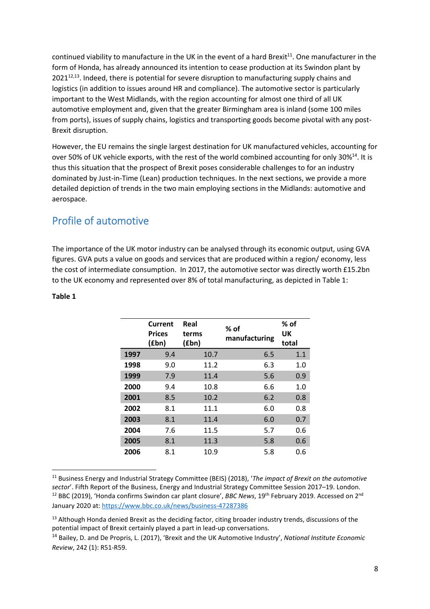continued viability to manufacture in the UK in the event of a hard Brexit<sup>11</sup>. One manufacturer in the form of Honda, has already announced its intention to cease production at its Swindon plant by 2021<sup>12,13</sup>. Indeed, there is potential for severe disruption to manufacturing supply chains and logistics (in addition to issues around HR and compliance). The automotive sector is particularly important to the West Midlands, with the region accounting for almost one third of all UK automotive employment and, given that the greater Birmingham area is inland (some 100 miles from ports), issues of supply chains, logistics and transporting goods become pivotal with any post-Brexit disruption.

However, the EU remains the single largest destination for UK manufactured vehicles, accounting for over 50% of UK vehicle exports, with the rest of the world combined accounting for only 30%<sup>14</sup>. It is thus this situation that the prospect of Brexit poses considerable challenges to for an industry dominated by Just-in-Time (Lean) production techniques. In the next sections, we provide a more detailed depiction of trends in the two main employing sections in the Midlands: automotive and aerospace.

# Profile of automotive

The importance of the UK motor industry can be analysed through its economic output, using GVA figures. GVA puts a value on goods and services that are produced within a region/ economy, less the cost of intermediate consumption. In 2017, the automotive sector was directly worth £15.2bn to the UK economy and represented over 8% of total manufacturing, as depicted in Table 1:

### **Table 1**

l

|      | Current<br><b>Prices</b><br>(fbn) | Real<br>terms<br>(fbn) | % of<br>manufacturing | $%$ of<br>UK<br>total |
|------|-----------------------------------|------------------------|-----------------------|-----------------------|
| 1997 | 9.4                               | 10.7                   | 6.5                   | 1.1                   |
| 1998 | 9.0                               | 11.2                   | 6.3                   | 1.0                   |
| 1999 | 7.9                               | 11.4                   | 5.6                   | 0.9                   |
| 2000 | 9.4                               | 10.8                   | 6.6                   | 1.0                   |
| 2001 | 8.5                               | 10.2                   | 6.2                   | 0.8                   |
| 2002 | 8.1                               | 11.1                   | 6.0                   | 0.8                   |
| 2003 | 8.1                               | 11.4                   | 6.0                   | 0.7                   |
| 2004 | 7.6                               | 11.5                   | 5.7                   | 0.6                   |
| 2005 | 8.1                               | 11.3                   | 5.8                   | 0.6                   |
| 2006 | 8.1                               | 10.9                   | 5.8                   | 0.6                   |

<sup>11</sup> Business Energy and Industrial Strategy Committee (BEIS) (2018), '*The impact of Brexit on the automotive sector*'. Fifth Report of the Business, Energy and Industrial Strategy Committee Session 2017–19. London. <sup>12</sup> BBC (2019), 'Honda confirms Swindon car plant closure', *BBC News*, 19th February 2019. Accessed on 2nd January 2020 at: https://www.bbc.co.uk/news/business-47287386

<sup>&</sup>lt;sup>13</sup> Although Honda denied Brexit as the deciding factor, citing broader industry trends, discussions of the potential impact of Brexit certainly played a part in lead-up conversations.

<sup>14</sup> Bailey, D. and De Propris, L. (2017), 'Brexit and the UK Automotive Industry', *National Institute Economic Review*, 242 (1): R51-R59.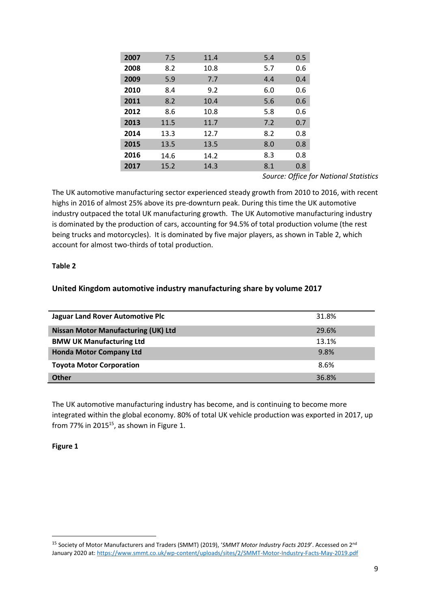| 2007 | 7.5  | 11.4 | 5.4 | 0.5 |
|------|------|------|-----|-----|
| 2008 | 8.2  | 10.8 | 5.7 | 0.6 |
| 2009 | 5.9  | 7.7  | 4.4 | 0.4 |
| 2010 | 8.4  | 9.2  | 6.0 | 0.6 |
| 2011 | 8.2  | 10.4 | 5.6 | 0.6 |
| 2012 | 8.6  | 10.8 | 5.8 | 0.6 |
| 2013 | 11.5 | 11.7 | 7.2 | 0.7 |
| 2014 | 13.3 | 12.7 | 8.2 | 0.8 |
| 2015 | 13.5 | 13.5 | 8.0 | 0.8 |
| 2016 | 14.6 | 14.2 | 8.3 | 0.8 |
| 2017 | 15.2 | 14.3 | 8.1 | 0.8 |

*Source: Office for National Statistics* 

The UK automotive manufacturing sector experienced steady growth from 2010 to 2016, with recent highs in 2016 of almost 25% above its pre-downturn peak. During this time the UK automotive industry outpaced the total UK manufacturing growth. The UK Automotive manufacturing industry is dominated by the production of cars, accounting for 94.5% of total production volume (the rest being trucks and motorcycles). It is dominated by five major players, as shown in Table 2, which account for almost two-thirds of total production.

### **Table 2**

## **United Kingdom automotive industry manufacturing share by volume 2017**

| <b>Jaguar Land Rover Automotive Plc</b>    | 31.8% |
|--------------------------------------------|-------|
| <b>Nissan Motor Manufacturing (UK) Ltd</b> | 29.6% |
| <b>BMW UK Manufacturing Ltd</b>            | 13.1% |
| <b>Honda Motor Company Ltd</b>             | 9.8%  |
| <b>Toyota Motor Corporation</b>            | 8.6%  |
| <b>Other</b>                               | 36.8% |

The UK automotive manufacturing industry has become, and is continuing to become more integrated within the global economy. 80% of total UK vehicle production was exported in 2017, up from 77% in 2015 $^{15}$ , as shown in Figure 1.

#### **Figure 1**

 $\overline{\phantom{0}}$ 

<sup>15</sup> Society of Motor Manufacturers and Traders (SMMT) (2019), '*SMMT Motor Industry Facts 2019*'. Accessed on 2nd January 2020 at: https://www.smmt.co.uk/wp-content/uploads/sites/2/SMMT-Motor-Industry-Facts-May-2019.pdf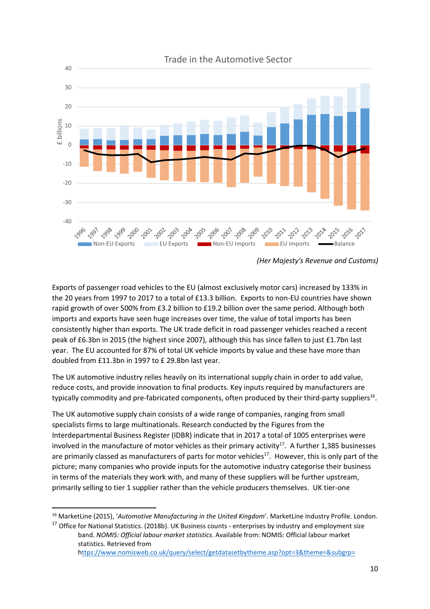

*<sup>(</sup>Her Majesty's Revenue and Customs)* 

Exports of passenger road vehicles to the EU (almost exclusively motor cars) increased by 133% in the 20 years from 1997 to 2017 to a total of £13.3 billion. Exports to non-EU countries have shown rapid growth of over 500% from £3.2 billion to £19.2 billion over the same period. Although both imports and exports have seen huge increases over time, the value of total imports has been consistently higher than exports. The UK trade deficit in road passenger vehicles reached a recent peak of £6.3bn in 2015 (the highest since 2007), although this has since fallen to just £1.7bn last year. The EU accounted for 87% of total UK vehicle imports by value and these have more than doubled from £11.3bn in 1997 to £ 29.8bn last year.

The UK automotive industry relies heavily on its international supply chain in order to add value, reduce costs, and provide innovation to final products. Key inputs required by manufacturers are typically commodity and pre-fabricated components, often produced by their third-party suppliers<sup>16</sup>.

The UK automotive supply chain consists of a wide range of companies, ranging from small specialists firms to large multinationals. Research conducted by the Figures from the Interdepartmental Business Register (IDBR) indicate that in 2017 a total of 1005 enterprises were involved in the manufacture of motor vehicles as their primary activity $^{17}$ . A further 1,385 businesses are primarily classed as manufacturers of parts for motor vehicles<sup>17</sup>. However, this is only part of the picture; many companies who provide inputs for the automotive industry categorise their business in terms of the materials they work with, and many of these suppliers will be further upstream, primarily selling to tier 1 supplier rather than the vehicle producers themselves. UK tier-one

 $\overline{a}$ 

<sup>17</sup> Office for National Statistics. (2018b). UK Business counts - enterprises by industry and employment size band. *NOMIS: Official labour market statistics*. Available from: NOMIS: Official labour market statistics. Retrieved from https://www.nomisweb.co.uk/query/select/getdatasetbytheme.asp?opt=3&theme=&subgrp=

<sup>16</sup> MarketLine (2015), '*Automotive Manufacturing in the United Kingdom*'. MarketLine Industry Profile. London.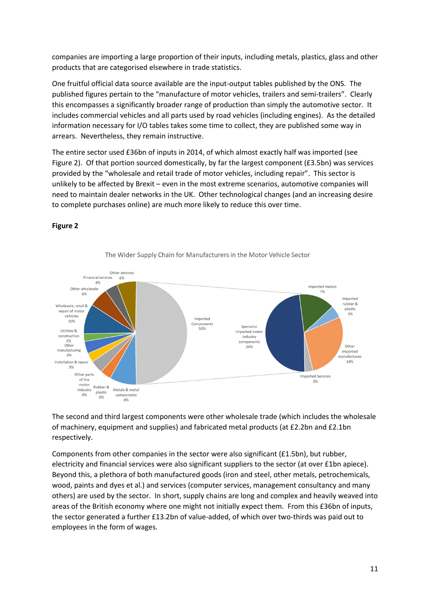companies are importing a large proportion of their inputs, including metals, plastics, glass and other products that are categorised elsewhere in trade statistics.

One fruitful official data source available are the input-output tables published by the ONS. The published figures pertain to the "manufacture of motor vehicles, trailers and semi-trailers". Clearly this encompasses a significantly broader range of production than simply the automotive sector. It includes commercial vehicles and all parts used by road vehicles (including engines). As the detailed information necessary for I/O tables takes some time to collect, they are published some way in arrears. Nevertheless, they remain instructive.

The entire sector used £36bn of inputs in 2014, of which almost exactly half was imported (see Figure 2). Of that portion sourced domestically, by far the largest component (£3.5bn) was services provided by the "wholesale and retail trade of motor vehicles, including repair". This sector is unlikely to be affected by Brexit – even in the most extreme scenarios, automotive companies will need to maintain dealer networks in the UK. Other technological changes (and an increasing desire to complete purchases online) are much more likely to reduce this over time.

### **Figure 2**



The Wider Supply Chain for Manufacturers in the Motor Vehicle Sector

The second and third largest components were other wholesale trade (which includes the wholesale of machinery, equipment and supplies) and fabricated metal products (at £2.2bn and £2.1bn respectively.

Components from other companies in the sector were also significant (£1.5bn), but rubber, electricity and financial services were also significant suppliers to the sector (at over £1bn apiece). Beyond this, a plethora of both manufactured goods (iron and steel, other metals, petrochemicals, wood, paints and dyes et al.) and services (computer services, management consultancy and many others) are used by the sector. In short, supply chains are long and complex and heavily weaved into areas of the British economy where one might not initially expect them. From this £36bn of inputs, the sector generated a further £13.2bn of value-added, of which over two-thirds was paid out to employees in the form of wages.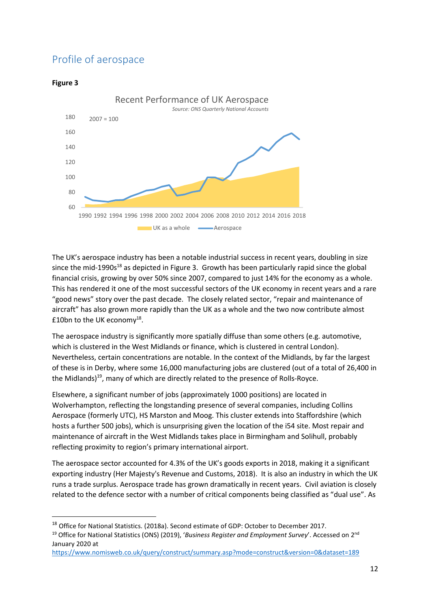# Profile of aerospace

# **Figure 3**

l



The UK's aerospace industry has been a notable industrial success in recent years, doubling in size since the mid-1990s<sup>18</sup> as depicted in Figure 3. Growth has been particularly rapid since the global financial crisis, growing by over 50% since 2007, compared to just 14% for the economy as a whole. This has rendered it one of the most successful sectors of the UK economy in recent years and a rare "good news" story over the past decade. The closely related sector, "repair and maintenance of aircraft" has also grown more rapidly than the UK as a whole and the two now contribute almost £10bn to the UK economy<sup>18</sup>.

The aerospace industry is significantly more spatially diffuse than some others (e.g. automotive, which is clustered in the West Midlands or finance, which is clustered in central London). Nevertheless, certain concentrations are notable. In the context of the Midlands, by far the largest of these is in Derby, where some 16,000 manufacturing jobs are clustered (out of a total of 26,400 in the Midlands)<sup>19</sup>, many of which are directly related to the presence of Rolls-Royce.

Elsewhere, a significant number of jobs (approximately 1000 positions) are located in Wolverhampton, reflecting the longstanding presence of several companies, including Collins Aerospace (formerly UTC), HS Marston and Moog. This cluster extends into Staffordshire (which hosts a further 500 jobs), which is unsurprising given the location of the i54 site. Most repair and maintenance of aircraft in the West Midlands takes place in Birmingham and Solihull, probably reflecting proximity to region's primary international airport.

The aerospace sector accounted for 4.3% of the UK's goods exports in 2018, making it a significant exporting industry (Her Majesty's Revenue and Customs, 2018). It is also an industry in which the UK runs a trade surplus. Aerospace trade has grown dramatically in recent years. Civil aviation is closely related to the defence sector with a number of critical components being classified as "dual use". As

<sup>&</sup>lt;sup>18</sup> Office for National Statistics. (2018a). Second estimate of GDP: October to December 2017.

<sup>19</sup> Office for National Statistics (ONS) (2019), '*Business Register and Employment Survey*'. Accessed on 2nd January 2020 at

https://www.nomisweb.co.uk/query/construct/summary.asp?mode=construct&version=0&dataset=189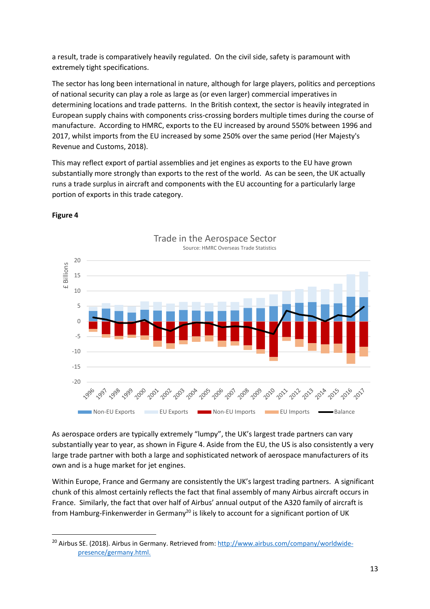a result, trade is comparatively heavily regulated. On the civil side, safety is paramount with extremely tight specifications.

The sector has long been international in nature, although for large players, politics and perceptions of national security can play a role as large as (or even larger) commercial imperatives in determining locations and trade patterns. In the British context, the sector is heavily integrated in European supply chains with components criss-crossing borders multiple times during the course of manufacture. According to HMRC, exports to the EU increased by around 550% between 1996 and 2017, whilst imports from the EU increased by some 250% over the same period (Her Majesty's Revenue and Customs, 2018).

This may reflect export of partial assemblies and jet engines as exports to the EU have grown substantially more strongly than exports to the rest of the world. As can be seen, the UK actually runs a trade surplus in aircraft and components with the EU accounting for a particularly large portion of exports in this trade category.



## **Figure 4**

l

As aerospace orders are typically extremely "lumpy", the UK's largest trade partners can vary substantially year to year, as shown in Figure 4. Aside from the EU, the US is also consistently a very large trade partner with both a large and sophisticated network of aerospace manufacturers of its own and is a huge market for jet engines.

Within Europe, France and Germany are consistently the UK's largest trading partners. A significant chunk of this almost certainly reflects the fact that final assembly of many Airbus aircraft occurs in France. Similarly, the fact that over half of Airbus' annual output of the A320 family of aircraft is from Hamburg-Finkenwerder in Germany<sup>20</sup> is likely to account for a significant portion of UK

<sup>&</sup>lt;sup>20</sup> Airbus SE. (2018). Airbus in Germany. Retrieved from: http://www.airbus.com/company/worldwidepresence/germany.html.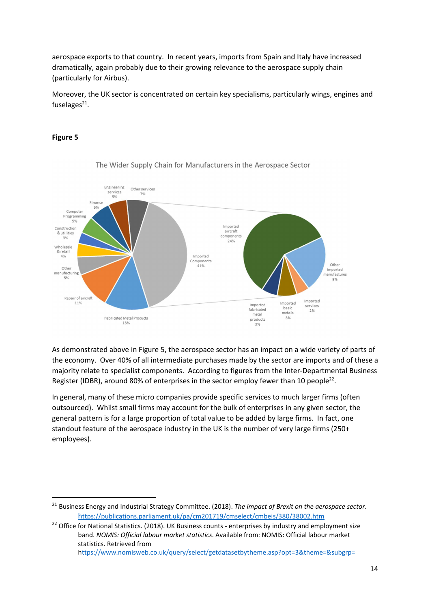aerospace exports to that country. In recent years, imports from Spain and Italy have increased dramatically, again probably due to their growing relevance to the aerospace supply chain (particularly for Airbus).

Moreover, the UK sector is concentrated on certain key specialisms, particularly wings, engines and fuselages<sup>21</sup>.

## **Figure 5**

l



The Wider Supply Chain for Manufacturers in the Aerospace Sector

As demonstrated above in Figure 5, the aerospace sector has an impact on a wide variety of parts of the economy. Over 40% of all intermediate purchases made by the sector are imports and of these a majority relate to specialist components. According to figures from the Inter-Departmental Business Register (IDBR), around 80% of enterprises in the sector employ fewer than 10 people<sup>22</sup>.

In general, many of these micro companies provide specific services to much larger firms (often outsourced). Whilst small firms may account for the bulk of enterprises in any given sector, the general pattern is for a large proportion of total value to be added by large firms. In fact, one standout feature of the aerospace industry in the UK is the number of very large firms (250+ employees).

<sup>21</sup> Business Energy and Industrial Strategy Committee. (2018). *The impact of Brexit on the aerospace sector*. https://publications.parliament.uk/pa/cm201719/cmselect/cmbeis/380/38002.htm

<sup>&</sup>lt;sup>22</sup> Office for National Statistics. (2018). UK Business counts - enterprises by industry and employment size band. *NOMIS: Official labour market statistics*. Available from: NOMIS: Official labour market statistics. Retrieved from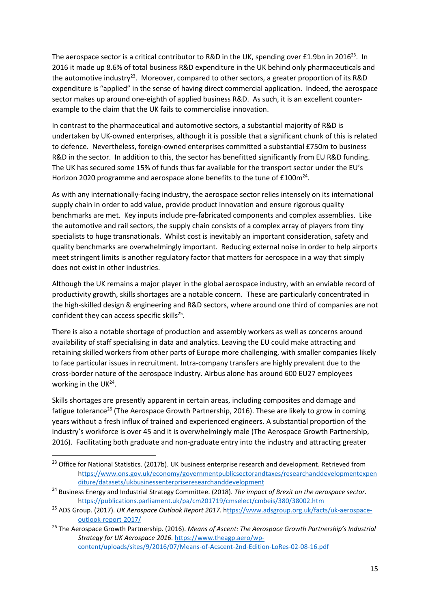The aerospace sector is a critical contributor to R&D in the UK, spending over £1.9bn in 2016<sup>23</sup>. In 2016 it made up 8.6% of total business R&D expenditure in the UK behind only pharmaceuticals and the automotive industry<sup>23</sup>. Moreover, compared to other sectors, a greater proportion of its R&D expenditure is "applied" in the sense of having direct commercial application. Indeed, the aerospace sector makes up around one-eighth of applied business R&D. As such, it is an excellent counterexample to the claim that the UK fails to commercialise innovation.

In contrast to the pharmaceutical and automotive sectors, a substantial majority of R&D is undertaken by UK-owned enterprises, although it is possible that a significant chunk of this is related to defence. Nevertheless, foreign-owned enterprises committed a substantial £750m to business R&D in the sector. In addition to this, the sector has benefitted significantly from EU R&D funding. The UK has secured some 15% of funds thus far available for the transport sector under the EU's Horizon 2020 programme and aerospace alone benefits to the tune of  $£100m<sup>24</sup>$ .

As with any internationally-facing industry, the aerospace sector relies intensely on its international supply chain in order to add value, provide product innovation and ensure rigorous quality benchmarks are met. Key inputs include pre-fabricated components and complex assemblies. Like the automotive and rail sectors, the supply chain consists of a complex array of players from tiny specialists to huge transnationals. Whilst cost is inevitably an important consideration, safety and quality benchmarks are overwhelmingly important. Reducing external noise in order to help airports meet stringent limits is another regulatory factor that matters for aerospace in a way that simply does not exist in other industries.

Although the UK remains a major player in the global aerospace industry, with an enviable record of productivity growth, skills shortages are a notable concern. These are particularly concentrated in the high-skilled design & engineering and R&D sectors, where around one third of companies are not confident they can access specific skills<sup>25</sup>.

There is also a notable shortage of production and assembly workers as well as concerns around availability of staff specialising in data and analytics. Leaving the EU could make attracting and retaining skilled workers from other parts of Europe more challenging, with smaller companies likely to face particular issues in recruitment. Intra-company transfers are highly prevalent due to the cross-border nature of the aerospace industry. Airbus alone has around 600 EU27 employees working in the UK<sup>24</sup>.

Skills shortages are presently apparent in certain areas, including composites and damage and fatigue tolerance<sup>26</sup> (The Aerospace Growth Partnership, 2016). These are likely to grow in coming years without a fresh influx of trained and experienced engineers. A substantial proportion of the industry's workforce is over 45 and it is overwhelmingly male (The Aerospace Growth Partnership, 2016). Facilitating both graduate and non-graduate entry into the industry and attracting greater

 $\overline{a}$ 

<sup>&</sup>lt;sup>23</sup> Office for National Statistics. (2017b). UK business enterprise research and development. Retrieved from https://www.ons.gov.uk/economy/governmentpublicsectorandtaxes/researchanddevelopmentexpen diture/datasets/ukbusinessenterpriseresearchanddevelopment

<sup>24</sup> Business Energy and Industrial Strategy Committee. (2018). *The impact of Brexit on the aerospace sector*. https://publications.parliament.uk/pa/cm201719/cmselect/cmbeis/380/38002.htm

<sup>25</sup> ADS Group. (2017). *UK Aerospace Outlook Report 2017*. https://www.adsgroup.org.uk/facts/uk-aerospaceoutlook-report-2017/

<sup>26</sup> The Aerospace Growth Partnership. (2016). *Means of Ascent: The Aerospace Growth Partnership's Industrial Strategy for UK Aerospace 2016*. https://www.theagp.aero/wpcontent/uploads/sites/9/2016/07/Means-of-Acscent-2nd-Edition-LoRes-02-08-16.pdf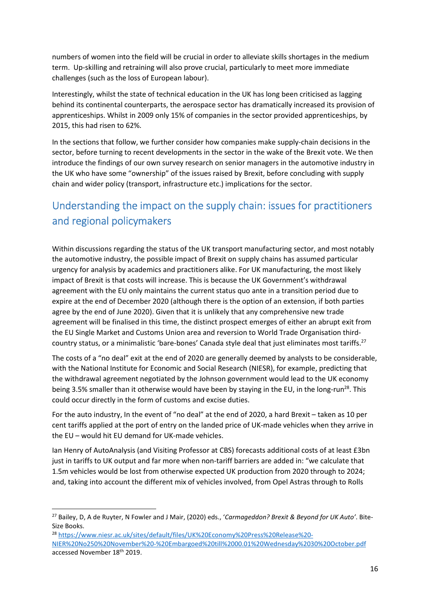numbers of women into the field will be crucial in order to alleviate skills shortages in the medium term. Up-skilling and retraining will also prove crucial, particularly to meet more immediate challenges (such as the loss of European labour).

Interestingly, whilst the state of technical education in the UK has long been criticised as lagging behind its continental counterparts, the aerospace sector has dramatically increased its provision of apprenticeships. Whilst in 2009 only 15% of companies in the sector provided apprenticeships, by 2015, this had risen to 62%.

In the sections that follow, we further consider how companies make supply-chain decisions in the sector, before turning to recent developments in the sector in the wake of the Brexit vote. We then introduce the findings of our own survey research on senior managers in the automotive industry in the UK who have some "ownership" of the issues raised by Brexit, before concluding with supply chain and wider policy (transport, infrastructure etc.) implications for the sector.

# Understanding the impact on the supply chain: issues for practitioners and regional policymakers

Within discussions regarding the status of the UK transport manufacturing sector, and most notably the automotive industry, the possible impact of Brexit on supply chains has assumed particular urgency for analysis by academics and practitioners alike. For UK manufacturing, the most likely impact of Brexit is that costs will increase. This is because the UK Government's withdrawal agreement with the EU only maintains the current status quo ante in a transition period due to expire at the end of December 2020 (although there is the option of an extension, if both parties agree by the end of June 2020). Given that it is unlikely that any comprehensive new trade agreement will be finalised in this time, the distinct prospect emerges of either an abrupt exit from the EU Single Market and Customs Union area and reversion to World Trade Organisation thirdcountry status, or a minimalistic 'bare-bones' Canada style deal that just eliminates most tariffs.<sup>27</sup>

The costs of a "no deal" exit at the end of 2020 are generally deemed by analysts to be considerable, with the National Institute for Economic and Social Research (NIESR), for example, predicting that the withdrawal agreement negotiated by the Johnson government would lead to the UK economy being 3.5% smaller than it otherwise would have been by staying in the EU, in the long-run<sup>28</sup>. This could occur directly in the form of customs and excise duties.

For the auto industry, In the event of "no deal" at the end of 2020, a hard Brexit – taken as 10 per cent tariffs applied at the port of entry on the landed price of UK-made vehicles when they arrive in the EU – would hit EU demand for UK-made vehicles.

Ian Henry of AutoAnalysis (and Visiting Professor at CBS) forecasts additional costs of at least £3bn just in tariffs to UK output and far more when non-tariff barriers are added in: "we calculate that 1.5m vehicles would be lost from otherwise expected UK production from 2020 through to 2024; and, taking into account the different mix of vehicles involved, from Opel Astras through to Rolls

 $\overline{a}$ 

<sup>28</sup> https://www.niesr.ac.uk/sites/default/files/UK%20Economy%20Press%20Release%20- NIER%20No250%20November%20-%20Embargoed%20till%2000.01%20Wednesday%2030%20October.pdf accessed November 18th 2019.

<sup>27</sup> Bailey, D, A de Ruyter, N Fowler and J Mair, (2020) eds., '*Carmageddon? Brexit & Beyond for UK Auto'*. Bite-Size Books.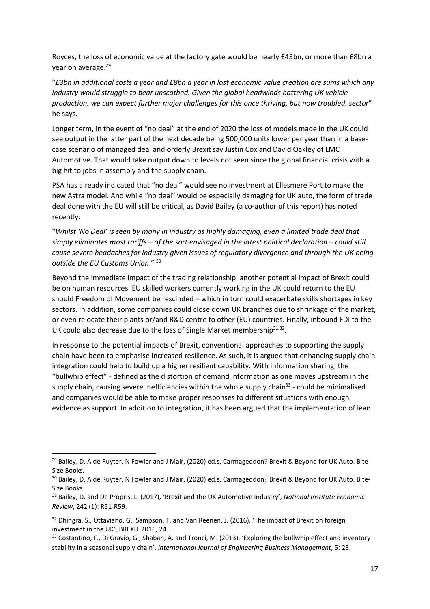Royces, the loss of economic value at the factory gate would be nearly £43bn, or more than £8bn a year on average.<sup>29</sup>

"*£3bn in additional costs a year and £8bn a year in lost economic value creation are sums which any industry would struggle to bear unscathed. Given the global headwinds battering UK vehicle production, we can expect further major challenges for this once thriving, but now troubled, sector*" he says.

Longer term, in the event of "no deal" at the end of 2020 the loss of models made in the UK could see output in the latter part of the next decade being 500,000 units lower per year than in a basecase scenario of managed deal and orderly Brexit say Justin Cox and David Oakley of LMC Automotive. That would take output down to levels not seen since the global financial crisis with a big hit to jobs in assembly and the supply chain.

PSA has already indicated that "no deal" would see no investment at Ellesmere Port to make the new Astra model. And while "no deal" would be especially damaging for UK auto, the form of trade deal done with the EU will still be critical, as David Bailey (a co-author of this report) has noted recently:

"*Whilst 'No Deal' is seen by many in industry as highly damaging, even a limited trade deal that simply eliminates most tariffs – of the sort envisaged in the latest political declaration – could still cause severe headaches for industry given issues of regulatory divergence and through the UK being outside the EU Customs Union*." <sup>30</sup>

Beyond the immediate impact of the trading relationship, another potential impact of Brexit could be on human resources. EU skilled workers currently working in the UK could return to the EU should Freedom of Movement be rescinded – which in turn could exacerbate skills shortages in key sectors. In addition, some companies could close down UK branches due to shrinkage of the market, or even relocate their plants or/and R&D centre to other (EU) countries. Finally, inbound FDI to the UK could also decrease due to the loss of Single Market membership $31,32$ .

In response to the potential impacts of Brexit, conventional approaches to supporting the supply chain have been to emphasise increased resilience. As such, it is argued that enhancing supply chain integration could help to build up a higher resilient capability. With information sharing, the "bullwhip effect" - defined as the distortion of demand information as one moves upstream in the supply chain, causing severe inefficiencies within the whole supply chain<sup>33</sup> - could be minimalised and companies would be able to make proper responses to different situations with enough evidence as support. In addition to integration, it has been argued that the implementation of lean

 $\overline{a}$ 

<sup>&</sup>lt;sup>29</sup> Bailey, D, A de Ruyter, N Fowler and J Mair, (2020) ed.s, Carmageddon? Brexit & Beyond for UK Auto. Bite-Size Books.

<sup>&</sup>lt;sup>30</sup> Bailey, D, A de Ruyter, N Fowler and J Mair, (2020) ed.s. Carmageddon? Brexit & Beyond for UK Auto. Bite-Size Books.

<sup>31</sup> Bailey, D. and De Propris, L. (2017), 'Brexit and the UK Automotive Industry', *National Institute Economic Review*, 242 (1): R51-R59.

<sup>&</sup>lt;sup>32</sup> Dhingra, S., Ottaviano, G., Sampson, T. and Van Reenen, J. (2016), 'The impact of Brexit on foreign investment in the UK', BREXIT 2016, 24.

<sup>33</sup> Costantino, F., Di Gravio, G., Shaban, A. and Tronci, M. (2013), 'Exploring the bullwhip effect and inventory stability in a seasonal supply chain', *International Journal of Engineering Business Management*, 5: 23.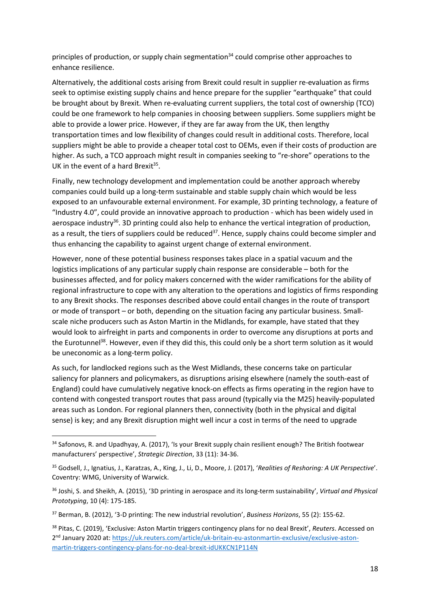principles of production, or supply chain segmentation<sup>34</sup> could comprise other approaches to enhance resilience.

Alternatively, the additional costs arising from Brexit could result in supplier re-evaluation as firms seek to optimise existing supply chains and hence prepare for the supplier "earthquake" that could be brought about by Brexit. When re-evaluating current suppliers, the total cost of ownership (TCO) could be one framework to help companies in choosing between suppliers. Some suppliers might be able to provide a lower price. However, if they are far away from the UK, then lengthy transportation times and low flexibility of changes could result in additional costs. Therefore, local suppliers might be able to provide a cheaper total cost to OEMs, even if their costs of production are higher. As such, a TCO approach might result in companies seeking to "re-shore" operations to the UK in the event of a hard Brexit<sup>35</sup>.

Finally, new technology development and implementation could be another approach whereby companies could build up a long-term sustainable and stable supply chain which would be less exposed to an unfavourable external environment. For example, 3D printing technology, a feature of "Industry 4.0", could provide an innovative approach to production - which has been widely used in aerospace industry<sup>36</sup>. 3D printing could also help to enhance the vertical integration of production, as a result, the tiers of suppliers could be reduced<sup>37</sup>. Hence, supply chains could become simpler and thus enhancing the capability to against urgent change of external environment.

However, none of these potential business responses takes place in a spatial vacuum and the logistics implications of any particular supply chain response are considerable – both for the businesses affected, and for policy makers concerned with the wider ramifications for the ability of regional infrastructure to cope with any alteration to the operations and logistics of firms responding to any Brexit shocks. The responses described above could entail changes in the route of transport or mode of transport – or both, depending on the situation facing any particular business. Smallscale niche producers such as Aston Martin in the Midlands, for example, have stated that they would look to airfreight in parts and components in order to overcome any disruptions at ports and the Eurotunnel<sup>38</sup>. However, even if they did this, this could only be a short term solution as it would be uneconomic as a long-term policy.

As such, for landlocked regions such as the West Midlands, these concerns take on particular saliency for planners and policymakers, as disruptions arising elsewhere (namely the south-east of England) could have cumulatively negative knock-on effects as firms operating in the region have to contend with congested transport routes that pass around (typically via the M25) heavily-populated areas such as London. For regional planners then, connectivity (both in the physical and digital sense) is key; and any Brexit disruption might well incur a cost in terms of the need to upgrade

l

<sup>34</sup> Safonovs, R. and Upadhyay, A. (2017), 'Is your Brexit supply chain resilient enough? The British footwear manufacturers' perspective', *Strategic Direction*, 33 (11): 34-36.

<sup>35</sup> Godsell, J., Ignatius, J., Karatzas, A., King, J., Li, D., Moore, J. (2017), '*Realities of Reshoring: A UK Perspective*'. Coventry: WMG, University of Warwick.

<sup>36</sup> Joshi, S. and Sheikh, A. (2015), '3D printing in aerospace and its long-term sustainability', *Virtual and Physical Prototyping*, 10 (4): 175-185.

<sup>37</sup> Berman, B. (2012), '3-D printing: The new industrial revolution', *Business Horizons*, 55 (2): 155-62.

<sup>38</sup> Pitas, C. (2019), 'Exclusive: Aston Martin triggers contingency plans for no deal Brexit', *Reuters*. Accessed on 2<sup>nd</sup> January 2020 at: https://uk.reuters.com/article/uk-britain-eu-astonmartin-exclusive/exclusive-astonmartin-triggers-contingency-plans-for-no-deal-brexit-idUKKCN1P114N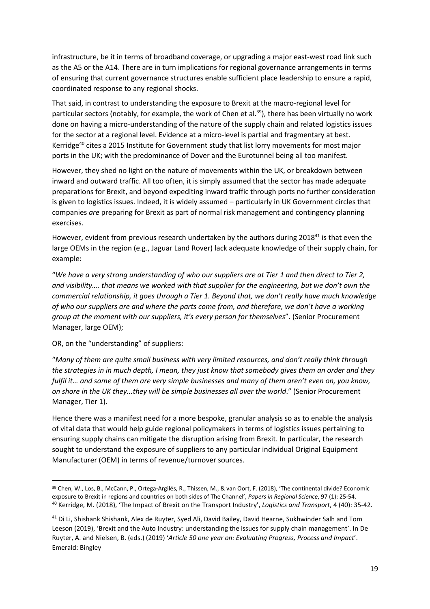infrastructure, be it in terms of broadband coverage, or upgrading a major east-west road link such as the A5 or the A14. There are in turn implications for regional governance arrangements in terms of ensuring that current governance structures enable sufficient place leadership to ensure a rapid, coordinated response to any regional shocks.

That said, in contrast to understanding the exposure to Brexit at the macro-regional level for particular sectors (notably, for example, the work of Chen et al.<sup>39</sup>), there has been virtually no work done on having a micro-understanding of the nature of the supply chain and related logistics issues for the sector at a regional level. Evidence at a micro-level is partial and fragmentary at best. Kerridge<sup>40</sup> cites a 2015 Institute for Government study that list lorry movements for most major ports in the UK; with the predominance of Dover and the Eurotunnel being all too manifest.

However, they shed no light on the nature of movements within the UK, or breakdown between inward and outward traffic. All too often, it is simply assumed that the sector has made adequate preparations for Brexit, and beyond expediting inward traffic through ports no further consideration is given to logistics issues. Indeed, it is widely assumed – particularly in UK Government circles that companies *are* preparing for Brexit as part of normal risk management and contingency planning exercises.

However, evident from previous research undertaken by the authors during 2018<sup>41</sup> is that even the large OEMs in the region (e.g., Jaguar Land Rover) lack adequate knowledge of their supply chain, for example:

"*We have a very strong understanding of who our suppliers are at Tier 1 and then direct to Tier 2, and visibility…. that means we worked with that supplier for the engineering, but we don't own the commercial relationship, it goes through a Tier 1. Beyond that, we don't really have much knowledge of who our suppliers are and where the parts come from, and therefore, we don't have a working group at the moment with our suppliers, it's every person for themselves*". (Senior Procurement Manager, large OEM);

OR, on the "understanding" of suppliers:

l

"*Many of them are quite small business with very limited resources, and don't really think through the strategies in in much depth, I mean, they just know that somebody gives them an order and they fulfil it… and some of them are very simple businesses and many of them aren't even on, you know, on shore in the UK they...they will be simple businesses all over the world*." (Senior Procurement Manager, Tier 1).

Hence there was a manifest need for a more bespoke, granular analysis so as to enable the analysis of vital data that would help guide regional policymakers in terms of logistics issues pertaining to ensuring supply chains can mitigate the disruption arising from Brexit. In particular, the research sought to understand the exposure of suppliers to any particular individual Original Equipment Manufacturer (OEM) in terms of revenue/turnover sources.

<sup>&</sup>lt;sup>39</sup> Chen, W., Los, B., McCann, P., Ortega-Argilés, R., Thissen, M., & van Oort, F. (2018), 'The continental divide? Economic exposure to Brexit in regions and countries on both sides of The Channel', *Papers in Regional Science*, 97 (1): 25-54. <sup>40</sup> Kerridge, M. (2018), 'The Impact of Brexit on the Transport Industry', *Logistics and Transport*, 4 (40): 35-42.

<sup>41</sup> Di Li, Shishank Shishank, Alex de Ruyter, Syed Ali, David Bailey, David Hearne, Sukhwinder Salh and Tom Leeson (2019), 'Brexit and the Auto Industry: understanding the issues for supply chain management'. In De Ruyter, A. and Nielsen, B. (eds.) (2019) '*Article 50 one year on: Evaluating Progress, Process and Impact*'. Emerald: Bingley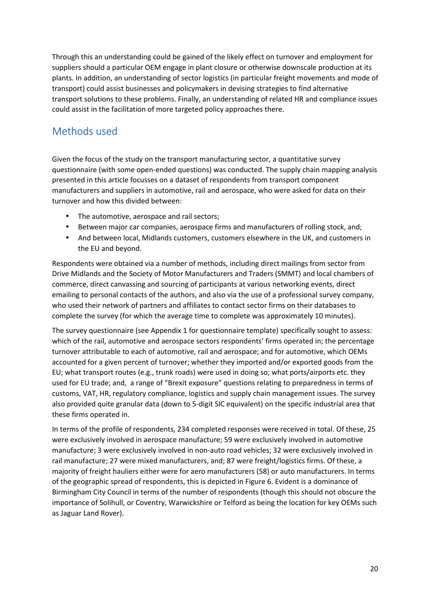Through this an understanding could be gained of the likely effect on turnover and employment for suppliers should a particular OEM engage in plant closure or otherwise downscale production at its plants. In addition, an understanding of sector logistics (in particular freight movements and mode of transport) could assist businesses and policymakers in devising strategies to find alternative transport solutions to these problems. Finally, an understanding of related HR and compliance issues could assist in the facilitation of more targeted policy approaches there.

# Methods used

Given the focus of the study on the transport manufacturing sector, a quantitative survey questionnaire (with some open-ended questions) was conducted. The supply chain mapping analysis presented in this article focusses on a dataset of respondents from transport component manufacturers and suppliers in automotive, rail and aerospace, who were asked for data on their turnover and how this divided between:

- The automotive, aerospace and rail sectors;
- Between major car companies, aerospace firms and manufacturers of rolling stock, and;
- And between local, Midlands customers, customers elsewhere in the UK, and customers in the EU and beyond.

Respondents were obtained via a number of methods, including direct mailings from sector from Drive Midlands and the Society of Motor Manufacturers and Traders (SMMT) and local chambers of commerce, direct canvassing and sourcing of participants at various networking events, direct emailing to personal contacts of the authors, and also via the use of a professional survey company, who used their network of partners and affiliates to contact sector firms on their databases to complete the survey (for which the average time to complete was approximately 10 minutes).

The survey questionnaire (see Appendix 1 for questionnaire template) specifically sought to assess: which of the rail, automotive and aerospace sectors respondents' firms operated in; the percentage turnover attributable to each of automotive, rail and aerospace; and for automotive, which OEMs accounted for a given percent of turnover; whether they imported and/or exported goods from the EU; what transport routes (e.g., trunk roads) were used in doing so; what ports/airports etc. they used for EU trade; and, a range of "Brexit exposure" questions relating to preparedness in terms of customs, VAT, HR, regulatory compliance, logistics and supply chain management issues. The survey also provided quite granular data (down to 5-digit SIC equivalent) on the specific industrial area that these firms operated in.

In terms of the profile of respondents, 234 completed responses were received in total. Of these, 25 were exclusively involved in aerospace manufacture; 59 were exclusively involved in automotive manufacture; 3 were exclusively involved in non-auto road vehicles; 32 were exclusively involved in rail manufacture; 27 were mixed manufacturers, and; 87 were freight/logistics firms. Of these, a majority of freight hauliers either were for aero manufacturers (58) or auto manufacturers. In terms of the geographic spread of respondents, this is depicted in Figure 6. Evident is a dominance of Birmingham City Council in terms of the number of respondents (though this should not obscure the importance of Solihull, or Coventry, Warwickshire or Telford as being the location for key OEMs such as Jaguar Land Rover).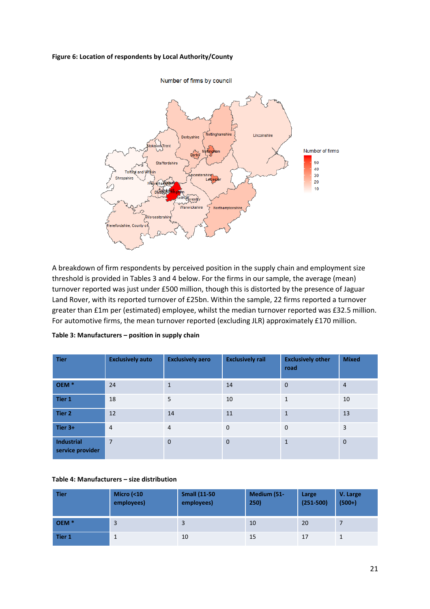#### **Figure 6: Location of respondents by Local Authority/County**



A breakdown of firm respondents by perceived position in the supply chain and employment size threshold is provided in Tables 3 and 4 below. For the firms in our sample, the average (mean) turnover reported was just under £500 million, though this is distorted by the presence of Jaguar Land Rover, with its reported turnover of £25bn. Within the sample, 22 firms reported a turnover greater than £1m per (estimated) employee, whilst the median turnover reported was £32.5 million. For automotive firms, the mean turnover reported (excluding JLR) approximately £170 million.

| <b>Tier</b>                           | <b>Exclusively auto</b> | <b>Exclusively aero</b> | <b>Exclusively rail</b> | <b>Exclusively other</b><br>road | <b>Mixed</b>   |
|---------------------------------------|-------------------------|-------------------------|-------------------------|----------------------------------|----------------|
| OEM <sup>*</sup>                      | 24                      | $\mathbf{1}$            | 14                      | $\mathbf{0}$                     | $\overline{4}$ |
| Tier 1                                | 18                      | 5                       | 10                      | $\mathbf{1}$                     | 10             |
| Tier 2                                | 12                      | 14                      | 11                      | $\mathbf{1}$                     | 13             |
| Tier 3+                               | $\overline{4}$          | $\overline{4}$          | $\mathbf 0$             | $\mathbf 0$                      | 3              |
| <b>Industrial</b><br>service provider | $\overline{7}$          | $\Omega$                | $\mathbf 0$             | $\mathbf{1}$                     | $\mathbf 0$    |

**Table 3: Manufacturers – position in supply chain** 

#### **Table 4: Manufacturers – size distribution**

| <b>Tier</b>      | <b>Micro (&lt;10</b><br>employees) | <b>Small (11-50)</b><br>employees) | Medium (51-<br>250) | Large<br>$(251 - 500)$ | V. Large<br>$(500+)$ |
|------------------|------------------------------------|------------------------------------|---------------------|------------------------|----------------------|
| OEM <sup>*</sup> | 3                                  | 3                                  | 10                  | 20                     |                      |
| Tier 1           | 1                                  | 10                                 | 15                  | 17                     |                      |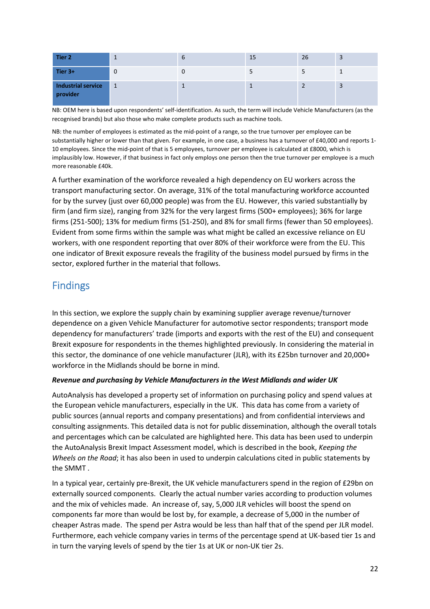| Tier 2                         | л.        | $\mathbf b$ | 15 | 26 |  |
|--------------------------------|-----------|-------------|----|----|--|
| Tier 3+                        | 0         |             | د  | ┙  |  |
| Industrial service<br>provider | $\vert$ 1 |             |    |    |  |

NB: OEM here is based upon respondents' self-identification. As such, the term will include Vehicle Manufacturers (as the recognised brands) but also those who make complete products such as machine tools.

NB: the number of employees is estimated as the mid-point of a range, so the true turnover per employee can be substantially higher or lower than that given. For example, in one case, a business has a turnover of £40,000 and reports 1- 10 employees. Since the mid-point of that is 5 employees, turnover per employee is calculated at £8000, which is implausibly low. However, if that business in fact only employs one person then the true turnover per employee is a much more reasonable £40k.

A further examination of the workforce revealed a high dependency on EU workers across the transport manufacturing sector. On average, 31% of the total manufacturing workforce accounted for by the survey (just over 60,000 people) was from the EU. However, this varied substantially by firm (and firm size), ranging from 32% for the very largest firms (500+ employees); 36% for large firms (251-500); 13% for medium firms (51-250), and 8% for small firms (fewer than 50 employees). Evident from some firms within the sample was what might be called an excessive reliance on EU workers, with one respondent reporting that over 80% of their workforce were from the EU. This one indicator of Brexit exposure reveals the fragility of the business model pursued by firms in the sector, explored further in the material that follows.

# **Findings**

In this section, we explore the supply chain by examining supplier average revenue/turnover dependence on a given Vehicle Manufacturer for automotive sector respondents; transport mode dependency for manufacturers' trade (imports and exports with the rest of the EU) and consequent Brexit exposure for respondents in the themes highlighted previously. In considering the material in this sector, the dominance of one vehicle manufacturer (JLR), with its £25bn turnover and 20,000+ workforce in the Midlands should be borne in mind.

## *Revenue and purchasing by Vehicle Manufacturers in the West Midlands and wider UK*

AutoAnalysis has developed a property set of information on purchasing policy and spend values at the European vehicle manufacturers, especially in the UK. This data has come from a variety of public sources (annual reports and company presentations) and from confidential interviews and consulting assignments. This detailed data is not for public dissemination, although the overall totals and percentages which can be calculated are highlighted here. This data has been used to underpin the AutoAnalysis Brexit Impact Assessment model, which is described in the book, *Keeping the Wheels on the Road*; it has also been in used to underpin calculations cited in public statements by the SMMT .

In a typical year, certainly pre-Brexit, the UK vehicle manufacturers spend in the region of £29bn on externally sourced components. Clearly the actual number varies according to production volumes and the mix of vehicles made. An increase of, say, 5,000 JLR vehicles will boost the spend on components far more than would be lost by, for example, a decrease of 5,000 in the number of cheaper Astras made. The spend per Astra would be less than half that of the spend per JLR model. Furthermore, each vehicle company varies in terms of the percentage spend at UK-based tier 1s and in turn the varying levels of spend by the tier 1s at UK or non-UK tier 2s.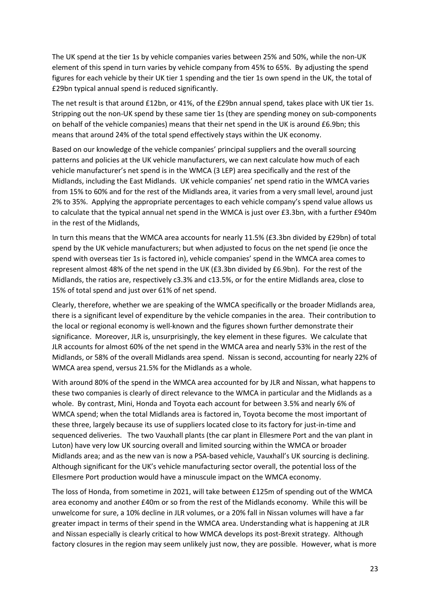The UK spend at the tier 1s by vehicle companies varies between 25% and 50%, while the non-UK element of this spend in turn varies by vehicle company from 45% to 65%. By adjusting the spend figures for each vehicle by their UK tier 1 spending and the tier 1s own spend in the UK, the total of £29bn typical annual spend is reduced significantly.

The net result is that around £12bn, or 41%, of the £29bn annual spend, takes place with UK tier 1s. Stripping out the non-UK spend by these same tier 1s (they are spending money on sub-components on behalf of the vehicle companies) means that their net spend in the UK is around £6.9bn; this means that around 24% of the total spend effectively stays within the UK economy.

Based on our knowledge of the vehicle companies' principal suppliers and the overall sourcing patterns and policies at the UK vehicle manufacturers, we can next calculate how much of each vehicle manufacturer's net spend is in the WMCA (3 LEP) area specifically and the rest of the Midlands, including the East Midlands. UK vehicle companies' net spend ratio in the WMCA varies from 15% to 60% and for the rest of the Midlands area, it varies from a very small level, around just 2% to 35%. Applying the appropriate percentages to each vehicle company's spend value allows us to calculate that the typical annual net spend in the WMCA is just over £3.3bn, with a further £940m in the rest of the Midlands,

In turn this means that the WMCA area accounts for nearly 11.5% (£3.3bn divided by £29bn) of total spend by the UK vehicle manufacturers; but when adjusted to focus on the net spend (ie once the spend with overseas tier 1s is factored in), vehicle companies' spend in the WMCA area comes to represent almost 48% of the net spend in the UK (£3.3bn divided by £6.9bn). For the rest of the Midlands, the ratios are, respectively c3.3% and c13.5%, or for the entire Midlands area, close to 15% of total spend and just over 61% of net spend.

Clearly, therefore, whether we are speaking of the WMCA specifically or the broader Midlands area, there is a significant level of expenditure by the vehicle companies in the area. Their contribution to the local or regional economy is well-known and the figures shown further demonstrate their significance. Moreover, JLR is, unsurprisingly, the key element in these figures. We calculate that JLR accounts for almost 60% of the net spend in the WMCA area and nearly 53% in the rest of the Midlands, or 58% of the overall Midlands area spend. Nissan is second, accounting for nearly 22% of WMCA area spend, versus 21.5% for the Midlands as a whole.

With around 80% of the spend in the WMCA area accounted for by JLR and Nissan, what happens to these two companies is clearly of direct relevance to the WMCA in particular and the Midlands as a whole. By contrast, Mini, Honda and Toyota each account for between 3.5% and nearly 6% of WMCA spend; when the total Midlands area is factored in, Toyota become the most important of these three, largely because its use of suppliers located close to its factory for just-in-time and sequenced deliveries. The two Vauxhall plants (the car plant in Ellesmere Port and the van plant in Luton) have very low UK sourcing overall and limited sourcing within the WMCA or broader Midlands area; and as the new van is now a PSA-based vehicle, Vauxhall's UK sourcing is declining. Although significant for the UK's vehicle manufacturing sector overall, the potential loss of the Ellesmere Port production would have a minuscule impact on the WMCA economy.

The loss of Honda, from sometime in 2021, will take between £125m of spending out of the WMCA area economy and another £40m or so from the rest of the Midlands economy. While this will be unwelcome for sure, a 10% decline in JLR volumes, or a 20% fall in Nissan volumes will have a far greater impact in terms of their spend in the WMCA area. Understanding what is happening at JLR and Nissan especially is clearly critical to how WMCA develops its post-Brexit strategy. Although factory closures in the region may seem unlikely just now, they are possible. However, what is more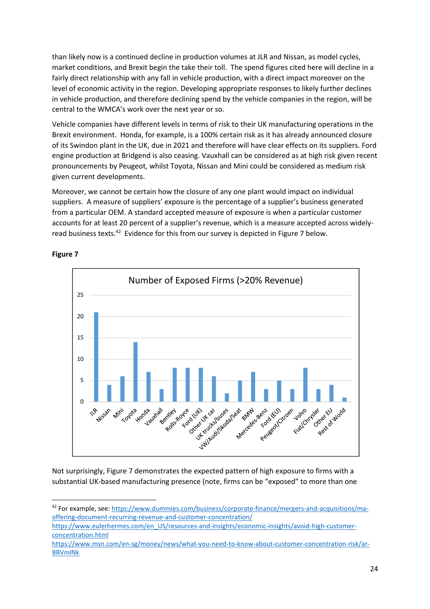than likely now is a continued decline in production volumes at JLR and Nissan, as model cycles, market conditions, and Brexit begin the take their toll. The spend figures cited here will decline in a fairly direct relationship with any fall in vehicle production, with a direct impact moreover on the level of economic activity in the region. Developing appropriate responses to likely further declines in vehicle production, and therefore declining spend by the vehicle companies in the region, will be central to the WMCA's work over the next year or so.

Vehicle companies have different levels in terms of risk to their UK manufacturing operations in the Brexit environment. Honda, for example, is a 100% certain risk as it has already announced closure of its Swindon plant in the UK, due in 2021 and therefore will have clear effects on its suppliers. Ford engine production at Bridgend is also ceasing. Vauxhall can be considered as at high risk given recent pronouncements by Peugeot, whilst Toyota, Nissan and Mini could be considered as medium risk given current developments.

Moreover, we cannot be certain how the closure of any one plant would impact on individual suppliers. A measure of suppliers' exposure is the percentage of a supplier's business generated from a particular OEM. A standard accepted measure of exposure is when a particular customer accounts for at least 20 percent of a supplier's revenue, which is a measure accepted across widelyread business texts.<sup>42</sup> Evidence for this from our survey is depicted in Figure 7 below.



## **Figure 7**

l

Not surprisingly, Figure 7 demonstrates the expected pattern of high exposure to firms with a substantial UK-based manufacturing presence (note, firms can be "exposed" to more than one

<sup>42</sup> For example, see: https://www.dummies.com/business/corporate-finance/mergers-and-acquisitions/maoffering-document-recurring-revenue-and-customer-concentration/

https://www.eulerhermes.com/en\_US/resources-and-insights/economic-insights/avoid-high-customerconcentration.html

https://www.msn.com/en-sg/money/news/what-you-need-to-know-about-customer-concentration-risk/ar-BBVmlNk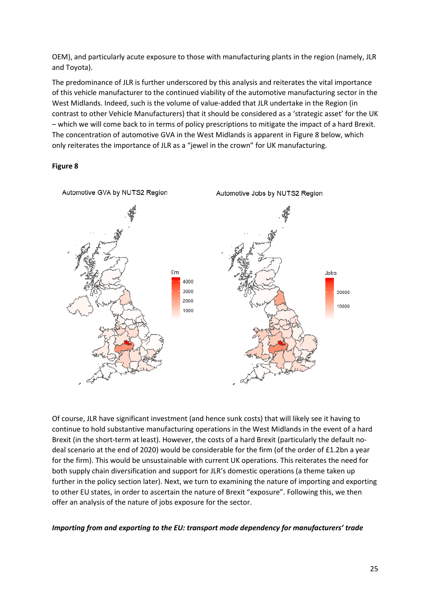OEM), and particularly acute exposure to those with manufacturing plants in the region (namely, JLR and Toyota).

The predominance of JLR is further underscored by this analysis and reiterates the vital importance of this vehicle manufacturer to the continued viability of the automotive manufacturing sector in the West Midlands. Indeed, such is the volume of value-added that JLR undertake in the Region (in contrast to other Vehicle Manufacturers) that it should be considered as a 'strategic asset' for the UK – which we will come back to in terms of policy prescriptions to mitigate the impact of a hard Brexit. The concentration of automotive GVA in the West Midlands is apparent in Figure 8 below, which only reiterates the importance of JLR as a "jewel in the crown" for UK manufacturing.

#### **Figure 8**



Of course, JLR have significant investment (and hence sunk costs) that will likely see it having to continue to hold substantive manufacturing operations in the West Midlands in the event of a hard Brexit (in the short-term at least). However, the costs of a hard Brexit (particularly the default nodeal scenario at the end of 2020) would be considerable for the firm (of the order of £1.2bn a year for the firm). This would be unsustainable with current UK operations. This reiterates the need for both supply chain diversification and support for JLR's domestic operations (a theme taken up further in the policy section later). Next, we turn to examining the nature of importing and exporting to other EU states, in order to ascertain the nature of Brexit "exposure". Following this, we then offer an analysis of the nature of jobs exposure for the sector.

#### *Importing from and exporting to the EU: transport mode dependency for manufacturers' trade*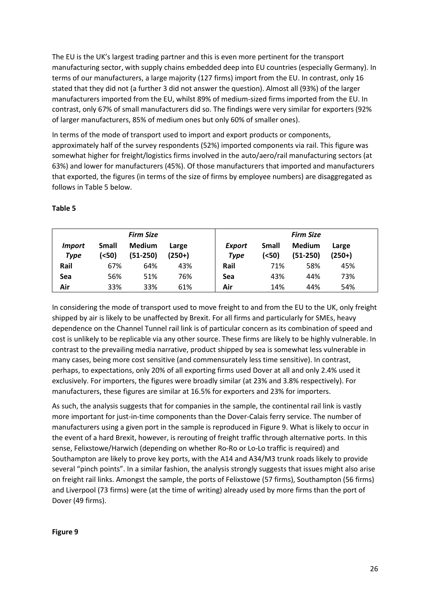The EU is the UK's largest trading partner and this is even more pertinent for the transport manufacturing sector, with supply chains embedded deep into EU countries (especially Germany). In terms of our manufacturers, a large majority (127 firms) import from the EU. In contrast, only 16 stated that they did not (a further 3 did not answer the question). Almost all (93%) of the larger manufacturers imported from the EU, whilst 89% of medium-sized firms imported from the EU. In contrast, only 67% of small manufacturers did so. The findings were very similar for exporters (92% of larger manufacturers, 85% of medium ones but only 60% of smaller ones).

In terms of the mode of transport used to import and export products or components, approximately half of the survey respondents (52%) imported components via rail. This figure was somewhat higher for freight/logistics firms involved in the auto/aero/rail manufacturing sectors (at 63%) and lower for manufacturers (45%). Of those manufacturers that imported and manufacturers that exported, the figures (in terms of the size of firms by employee numbers) are disaggregated as follows in Table 5 below.

### **Table 5**

|                              |                       | <b>Firm Size</b>            |                   |                              |                | <b>Firm Size</b>            |                   |
|------------------------------|-----------------------|-----------------------------|-------------------|------------------------------|----------------|-----------------------------|-------------------|
| <i>Import</i><br><b>Type</b> | <b>Small</b><br>(<50) | <b>Medium</b><br>$(51-250)$ | Large<br>$(250+)$ | <b>Export</b><br><b>Type</b> | Small<br>(<50) | <b>Medium</b><br>$(51-250)$ | Large<br>$(250+)$ |
| Rail                         | 67%                   | 64%                         | 43%               | Rail                         | 71%            | 58%                         | 45%               |
| Sea                          | 56%                   | 51%                         | 76%               | Sea                          | 43%            | 44%                         | 73%               |
| Air                          | 33%                   | 33%                         | 61%               | Air                          | 14%            | 44%                         | 54%               |

In considering the mode of transport used to move freight to and from the EU to the UK, only freight shipped by air is likely to be unaffected by Brexit. For all firms and particularly for SMEs, heavy dependence on the Channel Tunnel rail link is of particular concern as its combination of speed and cost is unlikely to be replicable via any other source. These firms are likely to be highly vulnerable. In contrast to the prevailing media narrative, product shipped by sea is somewhat less vulnerable in many cases, being more cost sensitive (and commensurately less time sensitive). In contrast, perhaps, to expectations, only 20% of all exporting firms used Dover at all and only 2.4% used it exclusively. For importers, the figures were broadly similar (at 23% and 3.8% respectively). For manufacturers, these figures are similar at 16.5% for exporters and 23% for importers.

As such, the analysis suggests that for companies in the sample, the continental rail link is vastly more important for just-in-time components than the Dover-Calais ferry service. The number of manufacturers using a given port in the sample is reproduced in Figure 9. What is likely to occur in the event of a hard Brexit, however, is rerouting of freight traffic through alternative ports. In this sense, Felixstowe/Harwich (depending on whether Ro-Ro or Lo-Lo traffic is required) and Southampton are likely to prove key ports, with the A14 and A34/M3 trunk roads likely to provide several "pinch points". In a similar fashion, the analysis strongly suggests that issues might also arise on freight rail links. Amongst the sample, the ports of Felixstowe (57 firms), Southampton (56 firms) and Liverpool (73 firms) were (at the time of writing) already used by more firms than the port of Dover (49 firms).

#### **Figure 9**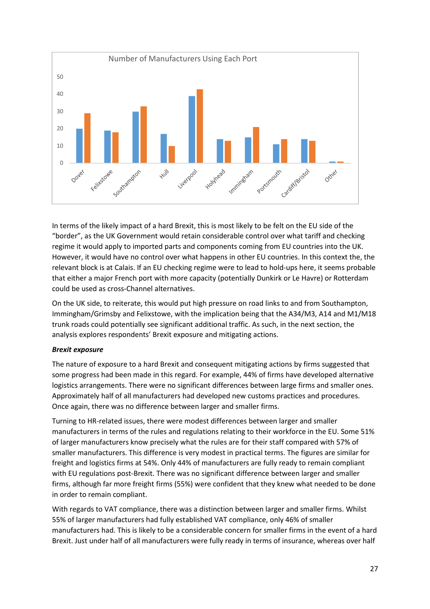

In terms of the likely impact of a hard Brexit, this is most likely to be felt on the EU side of the "border", as the UK Government would retain considerable control over what tariff and checking regime it would apply to imported parts and components coming from EU countries into the UK. However, it would have no control over what happens in other EU countries. In this context the, the relevant block is at Calais. If an EU checking regime were to lead to hold-ups here, it seems probable that either a major French port with more capacity (potentially Dunkirk or Le Havre) or Rotterdam could be used as cross-Channel alternatives.

On the UK side, to reiterate, this would put high pressure on road links to and from Southampton, Immingham/Grimsby and Felixstowe, with the implication being that the A34/M3, A14 and M1/M18 trunk roads could potentially see significant additional traffic. As such, in the next section, the analysis explores respondents' Brexit exposure and mitigating actions.

## *Brexit exposure*

The nature of exposure to a hard Brexit and consequent mitigating actions by firms suggested that some progress had been made in this regard. For example, 44% of firms have developed alternative logistics arrangements. There were no significant differences between large firms and smaller ones. Approximately half of all manufacturers had developed new customs practices and procedures. Once again, there was no difference between larger and smaller firms.

Turning to HR-related issues, there were modest differences between larger and smaller manufacturers in terms of the rules and regulations relating to their workforce in the EU. Some 51% of larger manufacturers know precisely what the rules are for their staff compared with 57% of smaller manufacturers. This difference is very modest in practical terms. The figures are similar for freight and logistics firms at 54%. Only 44% of manufacturers are fully ready to remain compliant with EU regulations post-Brexit. There was no significant difference between larger and smaller firms, although far more freight firms (55%) were confident that they knew what needed to be done in order to remain compliant.

With regards to VAT compliance, there was a distinction between larger and smaller firms. Whilst 55% of larger manufacturers had fully established VAT compliance, only 46% of smaller manufacturers had. This is likely to be a considerable concern for smaller firms in the event of a hard Brexit. Just under half of all manufacturers were fully ready in terms of insurance, whereas over half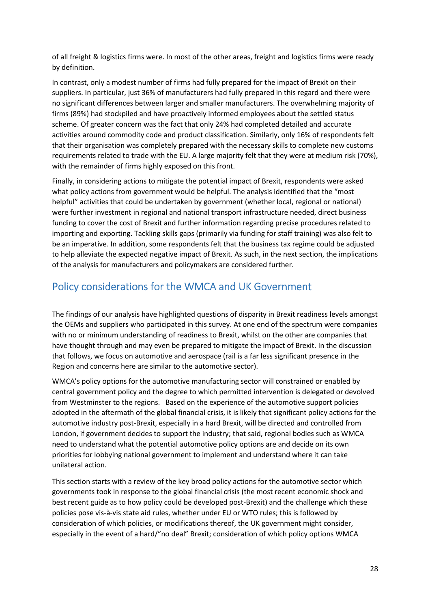of all freight & logistics firms were. In most of the other areas, freight and logistics firms were ready by definition.

In contrast, only a modest number of firms had fully prepared for the impact of Brexit on their suppliers. In particular, just 36% of manufacturers had fully prepared in this regard and there were no significant differences between larger and smaller manufacturers. The overwhelming majority of firms (89%) had stockpiled and have proactively informed employees about the settled status scheme. Of greater concern was the fact that only 24% had completed detailed and accurate activities around commodity code and product classification. Similarly, only 16% of respondents felt that their organisation was completely prepared with the necessary skills to complete new customs requirements related to trade with the EU. A large majority felt that they were at medium risk (70%), with the remainder of firms highly exposed on this front.

Finally, in considering actions to mitigate the potential impact of Brexit, respondents were asked what policy actions from government would be helpful. The analysis identified that the "most helpful" activities that could be undertaken by government (whether local, regional or national) were further investment in regional and national transport infrastructure needed, direct business funding to cover the cost of Brexit and further information regarding precise procedures related to importing and exporting. Tackling skills gaps (primarily via funding for staff training) was also felt to be an imperative. In addition, some respondents felt that the business tax regime could be adjusted to help alleviate the expected negative impact of Brexit. As such, in the next section, the implications of the analysis for manufacturers and policymakers are considered further.

# Policy considerations for the WMCA and UK Government

The findings of our analysis have highlighted questions of disparity in Brexit readiness levels amongst the OEMs and suppliers who participated in this survey. At one end of the spectrum were companies with no or minimum understanding of readiness to Brexit, whilst on the other are companies that have thought through and may even be prepared to mitigate the impact of Brexit. In the discussion that follows, we focus on automotive and aerospace (rail is a far less significant presence in the Region and concerns here are similar to the automotive sector).

WMCA's policy options for the automotive manufacturing sector will constrained or enabled by central government policy and the degree to which permitted intervention is delegated or devolved from Westminster to the regions. Based on the experience of the automotive support policies adopted in the aftermath of the global financial crisis, it is likely that significant policy actions for the automotive industry post-Brexit, especially in a hard Brexit, will be directed and controlled from London, if government decides to support the industry; that said, regional bodies such as WMCA need to understand what the potential automotive policy options are and decide on its own priorities for lobbying national government to implement and understand where it can take unilateral action.

This section starts with a review of the key broad policy actions for the automotive sector which governments took in response to the global financial crisis (the most recent economic shock and best recent guide as to how policy could be developed post-Brexit) and the challenge which these policies pose vis-à-vis state aid rules, whether under EU or WTO rules; this is followed by consideration of which policies, or modifications thereof, the UK government might consider, especially in the event of a hard/"no deal" Brexit; consideration of which policy options WMCA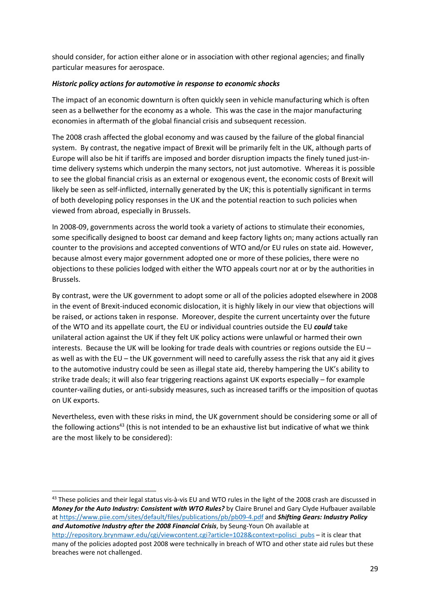should consider, for action either alone or in association with other regional agencies; and finally particular measures for aerospace.

### *Historic policy actions for automotive in response to economic shocks*

The impact of an economic downturn is often quickly seen in vehicle manufacturing which is often seen as a bellwether for the economy as a whole. This was the case in the major manufacturing economies in aftermath of the global financial crisis and subsequent recession.

The 2008 crash affected the global economy and was caused by the failure of the global financial system. By contrast, the negative impact of Brexit will be primarily felt in the UK, although parts of Europe will also be hit if tariffs are imposed and border disruption impacts the finely tuned just-intime delivery systems which underpin the many sectors, not just automotive. Whereas it is possible to see the global financial crisis as an external or exogenous event, the economic costs of Brexit will likely be seen as self-inflicted, internally generated by the UK; this is potentially significant in terms of both developing policy responses in the UK and the potential reaction to such policies when viewed from abroad, especially in Brussels.

In 2008-09, governments across the world took a variety of actions to stimulate their economies, some specifically designed to boost car demand and keep factory lights on; many actions actually ran counter to the provisions and accepted conventions of WTO and/or EU rules on state aid. However, because almost every major government adopted one or more of these policies, there were no objections to these policies lodged with either the WTO appeals court nor at or by the authorities in Brussels.

By contrast, were the UK government to adopt some or all of the policies adopted elsewhere in 2008 in the event of Brexit-induced economic dislocation, it is highly likely in our view that objections will be raised, or actions taken in response. Moreover, despite the current uncertainty over the future of the WTO and its appellate court, the EU or individual countries outside the EU *could* take unilateral action against the UK if they felt UK policy actions were unlawful or harmed their own interests. Because the UK will be looking for trade deals with countries or regions outside the EU – as well as with the EU – the UK government will need to carefully assess the risk that any aid it gives to the automotive industry could be seen as illegal state aid, thereby hampering the UK's ability to strike trade deals; it will also fear triggering reactions against UK exports especially – for example counter-vailing duties, or anti-subsidy measures, such as increased tariffs or the imposition of quotas on UK exports.

Nevertheless, even with these risks in mind, the UK government should be considering some or all of the following actions<sup>43</sup> (this is not intended to be an exhaustive list but indicative of what we think are the most likely to be considered):

<sup>43</sup> These policies and their legal status vis-à-vis EU and WTO rules in the light of the 2008 crash are discussed in *Money for the Auto Industry: Consistent with WTO Rules?* by Claire Brunel and Gary Clyde Hufbauer available at https://www.piie.com/sites/default/files/publications/pb/pb09-4.pdf and *Shifting Gears: Industry Policy*  and Automotive Industry after the 2008 Financial Crisis, by Seung-Youn Oh available at http://repository.brynmawr.edu/cgi/viewcontent.cgi?article=1028&context=polisci\_pubs – it is clear that many of the policies adopted post 2008 were technically in breach of WTO and other state aid rules but these breaches were not challenged.

 $\overline{a}$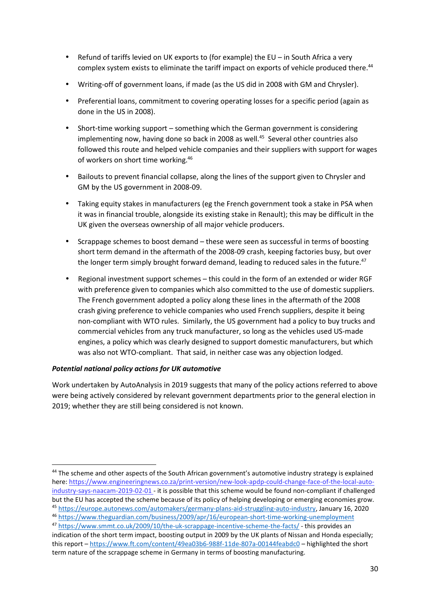- Refund of tariffs levied on UK exports to (for example) the EU in South Africa a very complex system exists to eliminate the tariff impact on exports of vehicle produced there.<sup>44</sup>
- Writing-off of government loans, if made (as the US did in 2008 with GM and Chrysler).
- Preferential loans, commitment to covering operating losses for a specific period (again as done in the US in 2008).
- Short-time working support something which the German government is considering implementing now, having done so back in 2008 as well.<sup>45</sup> Several other countries also followed this route and helped vehicle companies and their suppliers with support for wages of workers on short time working.<sup>46</sup>
- Bailouts to prevent financial collapse, along the lines of the support given to Chrysler and GM by the US government in 2008-09.
- Taking equity stakes in manufacturers (eg the French government took a stake in PSA when it was in financial trouble, alongside its existing stake in Renault); this may be difficult in the UK given the overseas ownership of all major vehicle producers.
- Scrappage schemes to boost demand these were seen as successful in terms of boosting short term demand in the aftermath of the 2008-09 crash, keeping factories busy, but over the longer term simply brought forward demand, leading to reduced sales in the future. $47$
- Regional investment support schemes this could in the form of an extended or wider RGF with preference given to companies which also committed to the use of domestic suppliers. The French government adopted a policy along these lines in the aftermath of the 2008 crash giving preference to vehicle companies who used French suppliers, despite it being non-compliant with WTO rules. Similarly, the US government had a policy to buy trucks and commercial vehicles from any truck manufacturer, so long as the vehicles used US-made engines, a policy which was clearly designed to support domestic manufacturers, but which was also not WTO-compliant. That said, in neither case was any objection lodged.

## *Potential national policy actions for UK automotive*

l

Work undertaken by AutoAnalysis in 2019 suggests that many of the policy actions referred to above were being actively considered by relevant government departments prior to the general election in 2019; whether they are still being considered is not known.

<sup>&</sup>lt;sup>44</sup> The scheme and other aspects of the South African government's automotive industry strategy is explained here: https://www.engineeringnews.co.za/print-version/new-look-apdp-could-change-face-of-the-local-autoindustry-says-naacam-2019-02-01 - it is possible that this scheme would be found non-compliant if challenged but the EU has accepted the scheme because of its policy of helping developing or emerging economies grow.

<sup>45</sup> https://europe.autonews.com/automakers/germany-plans-aid-struggling-auto-industry, January 16, 2020 <sup>46</sup> https://www.theguardian.com/business/2009/apr/16/european-short-time-working-unemployment

<sup>47</sup> https://www.smmt.co.uk/2009/10/the-uk-scrappage-incentive-scheme-the-facts/ - this provides an indication of the short term impact, boosting output in 2009 by the UK plants of Nissan and Honda especially; this report – https://www.ft.com/content/49ea03b6-988f-11de-807a-00144feabdc0 – highlighted the short term nature of the scrappage scheme in Germany in terms of boosting manufacturing.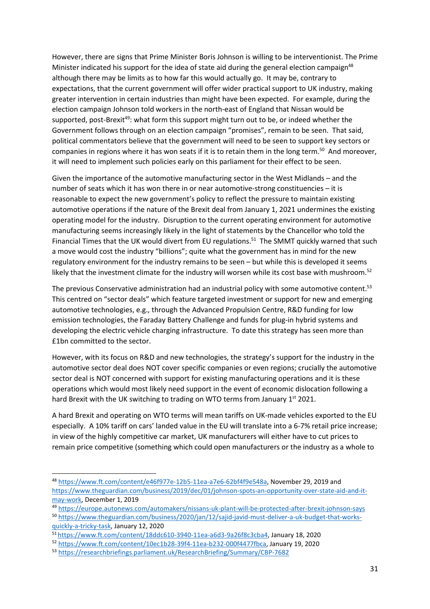However, there are signs that Prime Minister Boris Johnson is willing to be interventionist. The Prime Minister indicated his support for the idea of state aid during the general election campaign<sup>48</sup> although there may be limits as to how far this would actually go. It may be, contrary to expectations, that the current government will offer wider practical support to UK industry, making greater intervention in certain industries than might have been expected. For example, during the election campaign Johnson told workers in the north-east of England that Nissan would be supported, post-Brexit<sup>49</sup>: what form this support might turn out to be, or indeed whether the Government follows through on an election campaign "promises", remain to be seen. That said, political commentators believe that the government will need to be seen to support key sectors or companies in regions where it has won seats if it is to retain them in the long term.<sup>50</sup> And moreover, it will need to implement such policies early on this parliament for their effect to be seen.

Given the importance of the automotive manufacturing sector in the West Midlands – and the number of seats which it has won there in or near automotive-strong constituencies – it is reasonable to expect the new government's policy to reflect the pressure to maintain existing automotive operations if the nature of the Brexit deal from January 1, 2021 undermines the existing operating model for the industry. Disruption to the current operating environment for automotive manufacturing seems increasingly likely in the light of statements by the Chancellor who told the Financial Times that the UK would divert from EU regulations.<sup>51</sup> The SMMT quickly warned that such a move would cost the industry "billions"; quite what the government has in mind for the new regulatory environment for the industry remains to be seen – but while this is developed it seems likely that the investment climate for the industry will worsen while its cost base with mushroom.<sup>52</sup>

The previous Conservative administration had an industrial policy with some automotive content.<sup>53</sup> This centred on "sector deals" which feature targeted investment or support for new and emerging automotive technologies, e.g., through the Advanced Propulsion Centre, R&D funding for low emission technologies, the Faraday Battery Challenge and funds for plug-in hybrid systems and developing the electric vehicle charging infrastructure. To date this strategy has seen more than £1bn committed to the sector.

However, with its focus on R&D and new technologies, the strategy's support for the industry in the automotive sector deal does NOT cover specific companies or even regions; crucially the automotive sector deal is NOT concerned with support for existing manufacturing operations and it is these operations which would most likely need support in the event of economic dislocation following a hard Brexit with the UK switching to trading on WTO terms from January 1st 2021.

A hard Brexit and operating on WTO terms will mean tariffs on UK-made vehicles exported to the EU especially. A 10% tariff on cars' landed value in the EU will translate into a 6-7% retail price increase; in view of the highly competitive car market, UK manufacturers will either have to cut prices to remain price competitive (something which could open manufacturers or the industry as a whole to

l

<sup>48</sup> https://www.ft.com/content/e46f977e-12b5-11ea-a7e6-62bf4f9e548a, November 29, 2019 and https://www.theguardian.com/business/2019/dec/01/johnson-spots-an-opportunity-over-state-aid-and-itmay-work, December 1, 2019

<sup>49</sup> https://europe.autonews.com/automakers/nissans-uk-plant-will-be-protected-after-brexit-johnson-says

<sup>50</sup> https://www.theguardian.com/business/2020/jan/12/sajid-javid-must-deliver-a-uk-budget-that-worksquickly-a-tricky-task, January 12, 2020

<sup>51</sup>https://www.ft.com/content/18ddc610-3940-11ea-a6d3-9a26f8c3cba4, January 18, 2020

<sup>52</sup> https://www.ft.com/content/10ec1b28-39f4-11ea-b232-000f4477fbca, January 19, 2020

<sup>53</sup> https://researchbriefings.parliament.uk/ResearchBriefing/Summary/CBP-7682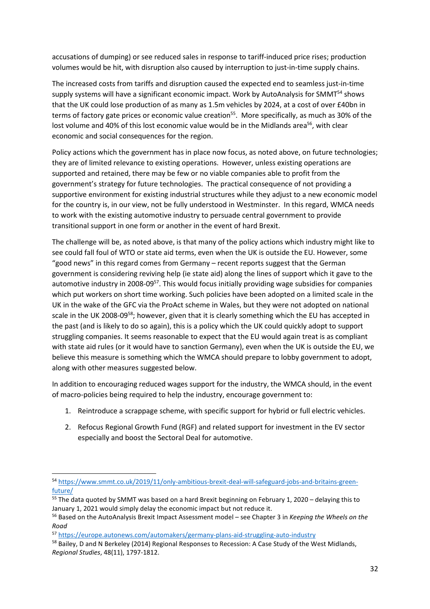accusations of dumping) or see reduced sales in response to tariff-induced price rises; production volumes would be hit, with disruption also caused by interruption to just-in-time supply chains.

The increased costs from tariffs and disruption caused the expected end to seamless just-in-time supply systems will have a significant economic impact. Work by AutoAnalysis for SMMT<sup>54</sup> shows that the UK could lose production of as many as 1.5m vehicles by 2024, at a cost of over £40bn in terms of factory gate prices or economic value creation<sup>55</sup>. More specifically, as much as 30% of the lost volume and 40% of this lost economic value would be in the Midlands area<sup>56</sup>, with clear economic and social consequences for the region.

Policy actions which the government has in place now focus, as noted above, on future technologies; they are of limited relevance to existing operations. However, unless existing operations are supported and retained, there may be few or no viable companies able to profit from the government's strategy for future technologies. The practical consequence of not providing a supportive environment for existing industrial structures while they adjust to a new economic model for the country is, in our view, not be fully understood in Westminster. In this regard, WMCA needs to work with the existing automotive industry to persuade central government to provide transitional support in one form or another in the event of hard Brexit.

The challenge will be, as noted above, is that many of the policy actions which industry might like to see could fall foul of WTO or state aid terms, even when the UK is outside the EU. However, some "good news" in this regard comes from Germany – recent reports suggest that the German government is considering reviving help (ie state aid) along the lines of support which it gave to the automotive industry in 2008-09<sup>57</sup>. This would focus initially providing wage subsidies for companies which put workers on short time working. Such policies have been adopted on a limited scale in the UK in the wake of the GFC via the ProAct scheme in Wales, but they were not adopted on national scale in the UK 2008-09<sup>58</sup>; however, given that it is clearly something which the EU has accepted in the past (and is likely to do so again), this is a policy which the UK could quickly adopt to support struggling companies. It seems reasonable to expect that the EU would again treat is as compliant with state aid rules (or it would have to sanction Germany), even when the UK is outside the EU, we believe this measure is something which the WMCA should prepare to lobby government to adopt, along with other measures suggested below.

In addition to encouraging reduced wages support for the industry, the WMCA should, in the event of macro-policies being required to help the industry, encourage government to:

- 1. Reintroduce a scrappage scheme, with specific support for hybrid or full electric vehicles.
- 2. Refocus Regional Growth Fund (RGF) and related support for investment in the EV sector especially and boost the Sectoral Deal for automotive.

l

<sup>54</sup> https://www.smmt.co.uk/2019/11/only-ambitious-brexit-deal-will-safeguard-jobs-and-britains-greenfuture/

<sup>&</sup>lt;sup>55</sup> The data quoted by SMMT was based on a hard Brexit beginning on February 1, 2020 – delaying this to January 1, 2021 would simply delay the economic impact but not reduce it.

<sup>56</sup> Based on the AutoAnalysis Brexit Impact Assessment model – see Chapter 3 in *Keeping the Wheels on the Road* 

<sup>57</sup> https://europe.autonews.com/automakers/germany-plans-aid-struggling-auto-industry

<sup>&</sup>lt;sup>58</sup> Bailey, D and N Berkeley (2014) Regional Responses to Recession: A Case Study of the West Midlands, *Regional Studies*, 48(11), 1797-1812.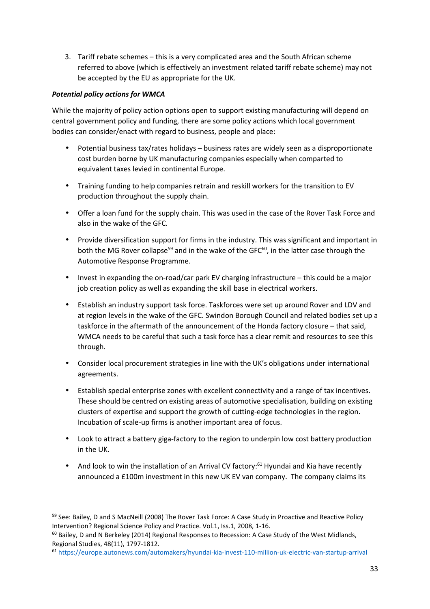3. Tariff rebate schemes – this is a very complicated area and the South African scheme referred to above (which is effectively an investment related tariff rebate scheme) may not be accepted by the EU as appropriate for the UK.

# *Potential policy actions for WMCA*

 $\overline{a}$ 

While the majority of policy action options open to support existing manufacturing will depend on central government policy and funding, there are some policy actions which local government bodies can consider/enact with regard to business, people and place:

- Potential business tax/rates holidays business rates are widely seen as a disproportionate cost burden borne by UK manufacturing companies especially when comparted to equivalent taxes levied in continental Europe.
- Training funding to help companies retrain and reskill workers for the transition to EV production throughout the supply chain.
- Offer a loan fund for the supply chain. This was used in the case of the Rover Task Force and also in the wake of the GFC.
- Provide diversification support for firms in the industry. This was significant and important in both the MG Rover collapse<sup>59</sup> and in the wake of the GFC $^{60}$ , in the latter case through the Automotive Response Programme.
- Invest in expanding the on-road/car park EV charging infrastructure this could be a major job creation policy as well as expanding the skill base in electrical workers.
- Establish an industry support task force. Taskforces were set up around Rover and LDV and at region levels in the wake of the GFC. Swindon Borough Council and related bodies set up a taskforce in the aftermath of the announcement of the Honda factory closure – that said, WMCA needs to be careful that such a task force has a clear remit and resources to see this through.
- Consider local procurement strategies in line with the UK's obligations under international agreements.
- Establish special enterprise zones with excellent connectivity and a range of tax incentives. These should be centred on existing areas of automotive specialisation, building on existing clusters of expertise and support the growth of cutting-edge technologies in the region. Incubation of scale-up firms is another important area of focus.
- Look to attract a battery giga-factory to the region to underpin low cost battery production in the UK.
- And look to win the installation of an Arrival CV factory:<sup>61</sup> Hyundai and Kia have recently announced a £100m investment in this new UK EV van company. The company claims its

<sup>&</sup>lt;sup>59</sup> See: Bailey, D and S MacNeill (2008) The Rover Task Force: A Case Study in Proactive and Reactive Policy Intervention? Regional Science Policy and Practice. Vol.1, Iss.1, 2008, 1-16.

<sup>&</sup>lt;sup>60</sup> Bailey, D and N Berkeley (2014) Regional Responses to Recession: A Case Study of the West Midlands, Regional Studies, 48(11), 1797-1812.

<sup>61</sup> https://europe.autonews.com/automakers/hyundai-kia-invest-110-million-uk-electric-van-startup-arrival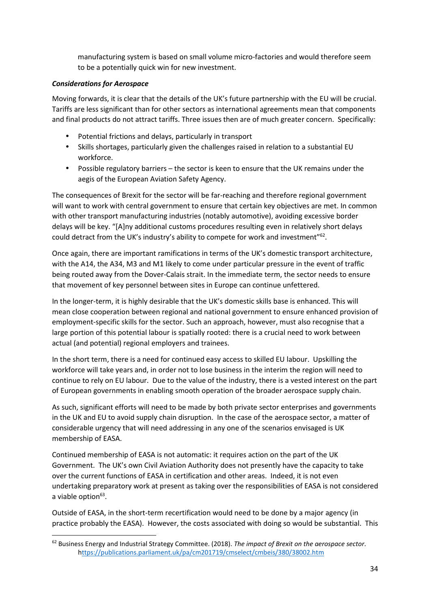manufacturing system is based on small volume micro-factories and would therefore seem to be a potentially quick win for new investment.

## *Considerations for Aerospace*

l

Moving forwards, it is clear that the details of the UK's future partnership with the EU will be crucial. Tariffs are less significant than for other sectors as international agreements mean that components and final products do not attract tariffs. Three issues then are of much greater concern. Specifically:

- Potential frictions and delays, particularly in transport
- Skills shortages, particularly given the challenges raised in relation to a substantial EU workforce.
- Possible regulatory barriers the sector is keen to ensure that the UK remains under the aegis of the European Aviation Safety Agency.

The consequences of Brexit for the sector will be far-reaching and therefore regional government will want to work with central government to ensure that certain key objectives are met. In common with other transport manufacturing industries (notably automotive), avoiding excessive border delays will be key. "[A]ny additional customs procedures resulting even in relatively short delays could detract from the UK's industry's ability to compete for work and investment" $62$ .

Once again, there are important ramifications in terms of the UK's domestic transport architecture, with the A14, the A34, M3 and M1 likely to come under particular pressure in the event of traffic being routed away from the Dover-Calais strait. In the immediate term, the sector needs to ensure that movement of key personnel between sites in Europe can continue unfettered.

In the longer-term, it is highly desirable that the UK's domestic skills base is enhanced. This will mean close cooperation between regional and national government to ensure enhanced provision of employment-specific skills for the sector. Such an approach, however, must also recognise that a large portion of this potential labour is spatially rooted: there is a crucial need to work between actual (and potential) regional employers and trainees.

In the short term, there is a need for continued easy access to skilled EU labour. Upskilling the workforce will take years and, in order not to lose business in the interim the region will need to continue to rely on EU labour. Due to the value of the industry, there is a vested interest on the part of European governments in enabling smooth operation of the broader aerospace supply chain.

As such, significant efforts will need to be made by both private sector enterprises and governments in the UK and EU to avoid supply chain disruption. In the case of the aerospace sector, a matter of considerable urgency that will need addressing in any one of the scenarios envisaged is UK membership of EASA.

Continued membership of EASA is not automatic: it requires action on the part of the UK Government. The UK's own Civil Aviation Authority does not presently have the capacity to take over the current functions of EASA in certification and other areas. Indeed, it is not even undertaking preparatory work at present as taking over the responsibilities of EASA is not considered a viable option<sup>63</sup>.

Outside of EASA, in the short-term recertification would need to be done by a major agency (in practice probably the EASA). However, the costs associated with doing so would be substantial. This

<sup>62</sup> Business Energy and Industrial Strategy Committee. (2018). *The impact of Brexit on the aerospace sector*. https://publications.parliament.uk/pa/cm201719/cmselect/cmbeis/380/38002.htm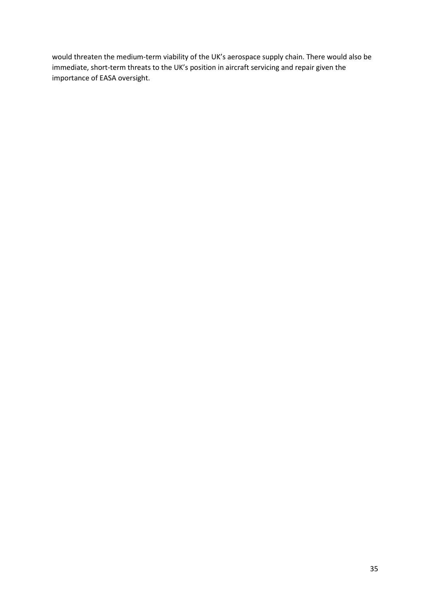would threaten the medium-term viability of the UK's aerospace supply chain. There would also be immediate, short-term threats to the UK's position in aircraft servicing and repair given the importance of EASA oversight.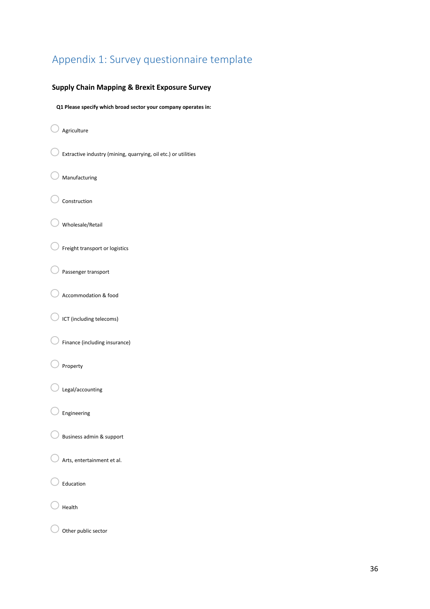# Appendix 1: Survey questionnaire template

#### **Supply Chain Mapping & Brexit Exposure Survey**

 **Q1 Please specify which broad sector your company operates in:**

- $\bigcirc$  Agriculture
- $\bigcirc$  Extractive industry (mining, quarrying, oil etc.) or utilities
- Manufacturing
- Construction
- $\bigcirc$  Wholesale/Retail
- $\bigcirc$  Freight transport or logistics
- $\bigcirc$  Passenger transport
- Accommodation & food
- $\bigcirc$  ICT (including telecoms)
- Finance (including insurance)
- $\bigcirc$  Property
- Legal/accounting
- Engineering
- $\bigcirc$  Business admin & support
- $\bigcirc$  Arts, entertainment et al.
- $\bigcirc$  Education
- Health
- $\bigcirc$  Other public sector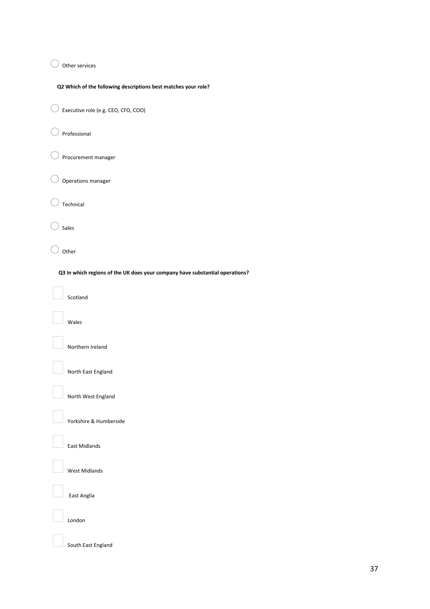$\bigcirc$  Other services

**Q2 Which of the following descriptions best matches your role?** 

oExecutive role (e.g. CEO, CFO, COO)

 $\bigcirc$  Professional

 $\bigcirc$  Procurement manager

 $\bigcirc$  Operations manager

 $\bigcirc$  Technical

 $\bigcirc$  Sales

 $\bigcirc$  Other

 **Q3 In which regions of the UK does your company have substantial operations?** 

Scotland

Wales

Northern Ireland

North East England

North West England

Yorkshire & Humberside

East Midlands

West Midlands

East Anglia

London

South East England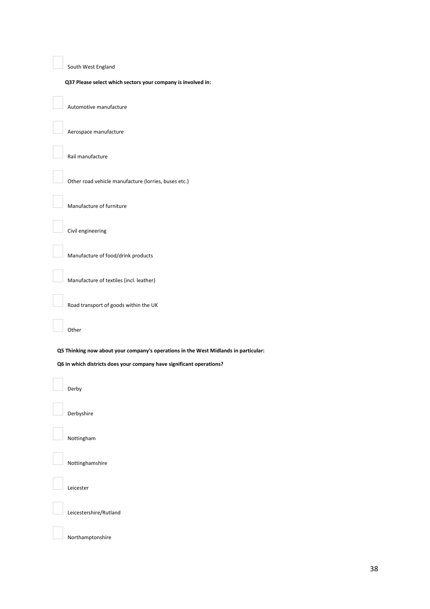South West England

**Q37 Please select which sectors your company is involved in:** 

Automotive manufacture

Aerospace manufacture

Rail manufacture

Other road vehicle manufacture (lorries, buses etc.)

Manufacture of furniture

Civil engineering

Manufacture of food/drink products

Manufacture of textiles (incl. leather)

Road transport of goods within the UK

Other

 **Q5 Thinking now about your company's operations in the West Midlands in particular:** 

 **Q6 In which districts does your company have significant operations?** 

Derby

Derbyshire

Nottingham

Nottinghamshire

Leicester

Leicestershire/Rutland

Northamptonshire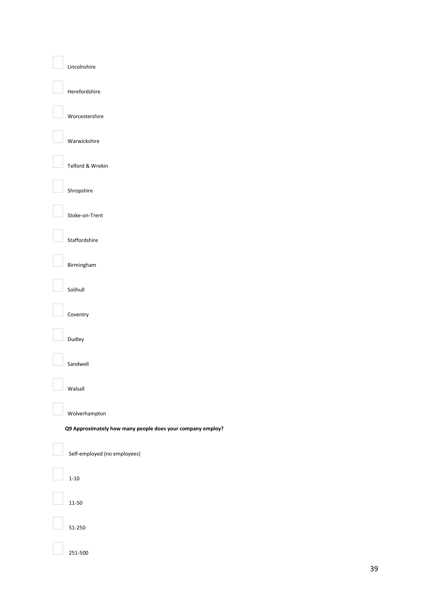#### Lincolnshire

Herefordshire

Worcestershire

Warwickshire

Telford & Wrekin

Shropshire

Stoke-on-Trent

Staffordshire

Birmingham

Solihull

Coventry

Dudley

Sandwell

Walsall

Wolverhampton

**Q9 Approximately how many people does your company employ?** 

Self-employed (no employees)

1-10

11-50

51-250

251-500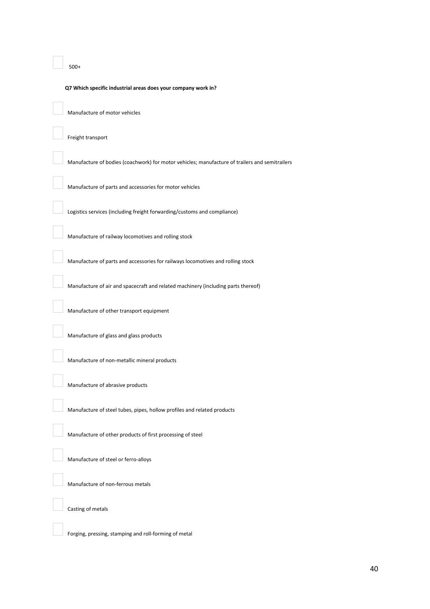#### 500+

#### **Q7 Which specific industrial areas does your company work in?**

Manufacture of motor vehicles

Freight transport

Manufacture of bodies (coachwork) for motor vehicles; manufacture of trailers and semitrailers

Manufacture of parts and accessories for motor vehicles

Logistics services (including freight forwarding/customs and compliance)

Manufacture of railway locomotives and rolling stock

Manufacture of parts and accessories for railways locomotives and rolling stock

Manufacture of air and spacecraft and related machinery (including parts thereof)

Manufacture of other transport equipment

Manufacture of glass and glass products

Manufacture of non-metallic mineral products

Manufacture of abrasive products

Manufacture of steel tubes, pipes, hollow profiles and related products

Manufacture of other products of first processing of steel

Manufacture of steel or ferro-alloys

Manufacture of non-ferrous metals

Casting of metals

Forging, pressing, stamping and roll-forming of metal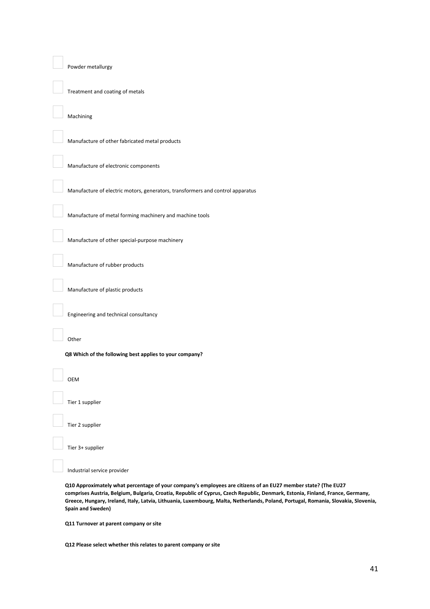#### Powder metallurgy

Treatment and coating of metals

#### Machining

Manufacture of other fabricated metal products

Manufacture of electronic components

Manufacture of electric motors, generators, transformers and control apparatus

Manufacture of metal forming machinery and machine tools

Manufacture of other special-purpose machinery

Manufacture of rubber products

Manufacture of plastic products

Engineering and technical consultancy

Other

**Q8 Which of the following best applies to your company?**

OEM

Tier 1 supplier

Tier 2 supplier

Tier 3+ supplier

Industrial service provider

**Q10 Approximately what percentage of your company's employees are citizens of an EU27 member state? (The EU27 comprises Austria, Belgium, Bulgaria, Croatia, Republic of Cyprus, Czech Republic, Denmark, Estonia, Finland, France, Germany, Greece, Hungary, Ireland, Italy, Latvia, Lithuania, Luxembourg, Malta, Netherlands, Poland, Portugal, Romania, Slovakia, Slovenia, Spain and Sweden)** 

**Q11 Turnover at parent company or site**

**Q12 Please select whether this relates to parent company or site**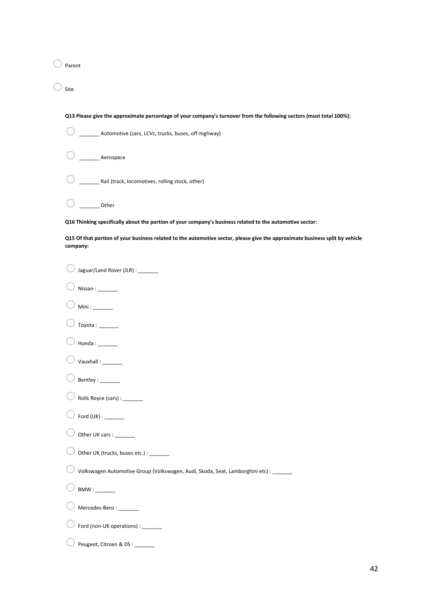$\bigcirc$  Parent

 $\bigcirc$  site

| Q13 Please give the approximate percentage of your company's turnover from the following sectors (must total 100%):                      |
|------------------------------------------------------------------------------------------------------------------------------------------|
| Automotive (cars, LCVs, trucks, buses, off-highway)                                                                                      |
| Aerospace                                                                                                                                |
| Rail (track, locomotives, rolling stock, other)                                                                                          |
| Other                                                                                                                                    |
| Q16 Thinking specifically about the portion of your company's business related to the automotive sector:                                 |
| Q15 Of that portion of your business related to the automotive sector, please give the approximate business split by vehicle<br>company: |
| Jaguar/Land Rover (JLR) : _______                                                                                                        |
| Nissan:                                                                                                                                  |
| Min:                                                                                                                                     |
|                                                                                                                                          |
|                                                                                                                                          |
| Vauxhall: ________                                                                                                                       |
| Bentley: _______                                                                                                                         |
| Rolls Royce (cars) : ________                                                                                                            |
| Ford $(UK)$ : ________                                                                                                                   |
| Other UK cars : _                                                                                                                        |
| Other UK (trucks, buses etc.) : _______                                                                                                  |
| Volkswagen Automotive Group (Volkswagen, Audi, Skoda, Seat, Lamborghini etc) : _______                                                   |
|                                                                                                                                          |
| Mercedes-Benz:                                                                                                                           |
| Ford (non-UK operations) : ________                                                                                                      |
| Peugeot, Citroen & DS : ______                                                                                                           |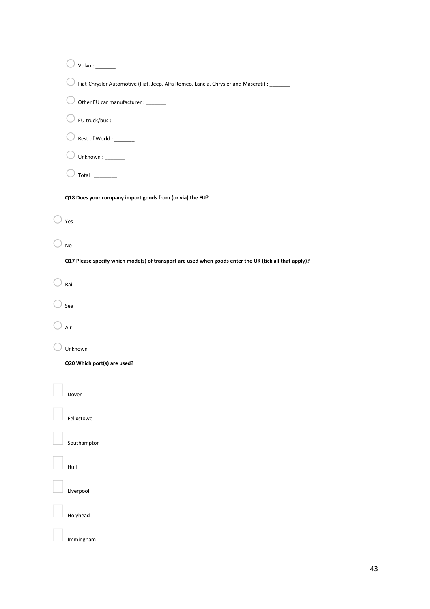| Fiat-Chrysler Automotive (Fiat, Jeep, Alfa Romeo, Lancia, Chrysler and Maserati) : _______            |  |
|-------------------------------------------------------------------------------------------------------|--|
| Other EU car manufacturer : _______                                                                   |  |
| EU truck/bus : _______                                                                                |  |
| Rest of World : _______                                                                               |  |
| Unknown: _______                                                                                      |  |
|                                                                                                       |  |
| Q18 Does your company import goods from (or via) the EU?                                              |  |
| Yes                                                                                                   |  |
| No                                                                                                    |  |
| Q17 Please specify which mode(s) of transport are used when goods enter the UK (tick all that apply)? |  |
| Rail                                                                                                  |  |
|                                                                                                       |  |
| Sea                                                                                                   |  |
| Air                                                                                                   |  |
| Unknown                                                                                               |  |
| Q20 Which port(s) are used?                                                                           |  |
| Dover                                                                                                 |  |
|                                                                                                       |  |
| Felixstowe                                                                                            |  |
| Southampton                                                                                           |  |
| Hull                                                                                                  |  |
| Liverpool                                                                                             |  |
| Holyhead                                                                                              |  |
| Immingham                                                                                             |  |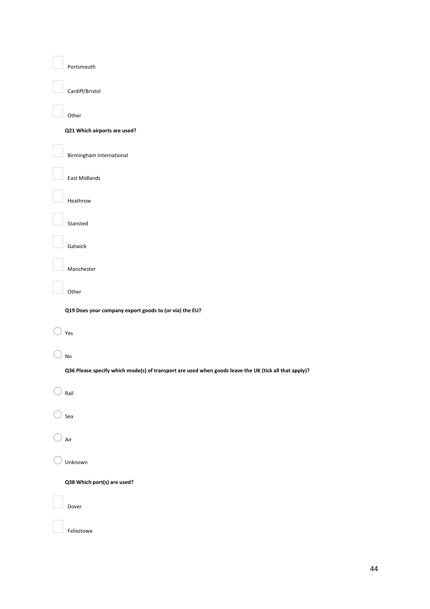Portsmouth

Cardiff/Bristol

Other

#### **Q21 Which airports are used?**

Birmingham International

East Midlands

Heathrow

Stansted

Gatwick

Manchester

Other

**Q19 Does your company export goods to (or via) the EU?** 

# $\bigcirc$  Yes

 $\bigcirc$  No

**Q36 Please specify which mode(s) of transport are used when goods leave the UK (tick all that apply)?**

 $\bigcirc$  Rail

 $\bigcirc$  Sea

 $\bigcirc$  Air

 $\bigcirc$  Unknown

**Q38 Which port(s) are used?** 

Dover

Felixstowe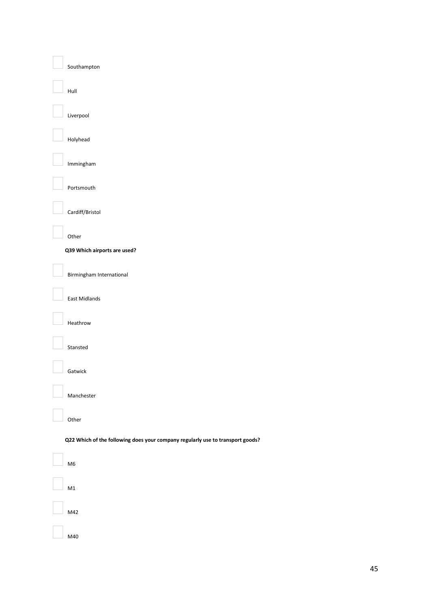#### Southampton

Hull

#### Liverpool

Holyhead

# Immingham

Portsmouth

#### Cardiff/Bristol

Other

#### **Q39 Which airports are used?**

Birmingham International

East Midlands

#### Heathrow

## Stansted

Gatwick

Manchester

#### Other

#### **Q22 Which of the following does your company regularly use to transport goods?**

# M6

M1

M42

#### M40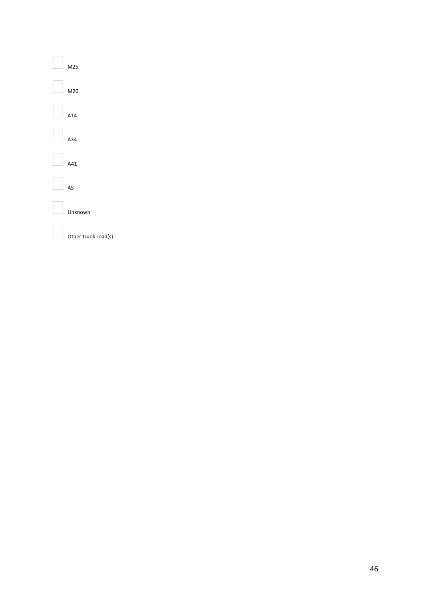M25 M20

A14

A34

A41

A5

Unknown

Other trunk road(s)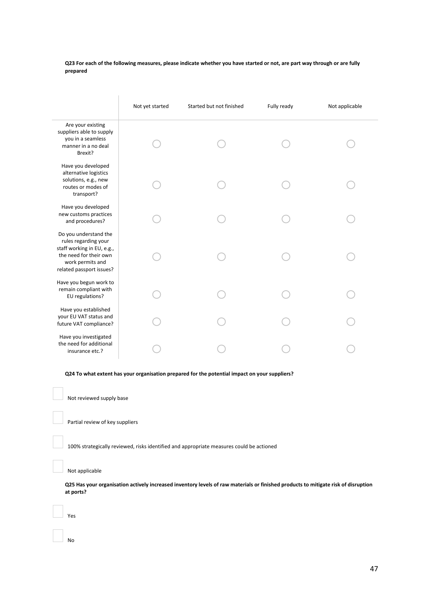**Q23 For each of the following measures, please indicate whether you have started or not, are part way through or are fully prepared** 

|                                                                                                                                                       | Not yet started | Started but not finished | Fully ready | Not applicable |
|-------------------------------------------------------------------------------------------------------------------------------------------------------|-----------------|--------------------------|-------------|----------------|
| Are your existing<br>suppliers able to supply<br>you in a seamless<br>manner in a no deal<br>Brexit?                                                  |                 |                          |             |                |
| Have you developed<br>alternative logistics<br>solutions, e.g., new<br>routes or modes of<br>transport?                                               |                 |                          |             |                |
| Have you developed<br>new customs practices<br>and procedures?                                                                                        |                 |                          |             |                |
| Do you understand the<br>rules regarding your<br>staff working in EU, e.g.,<br>the need for their own<br>work permits and<br>related passport issues? |                 |                          |             |                |
| Have you begun work to<br>remain compliant with<br>EU regulations?                                                                                    |                 |                          |             |                |
| Have you established<br>your EU VAT status and<br>future VAT compliance?                                                                              |                 |                          |             |                |
| Have you investigated<br>the need for additional<br>insurance etc.?                                                                                   |                 |                          |             |                |

**Q24 To what extent has your organisation prepared for the potential impact on your suppliers?** 

Not reviewed supply base

Partial review of key suppliers

100% strategically reviewed, risks identified and appropriate measures could be actioned

Not applicable

**Q25 Has your organisation actively increased inventory levels of raw materials or finished products to mitigate risk of disruption at ports?**

Yes

No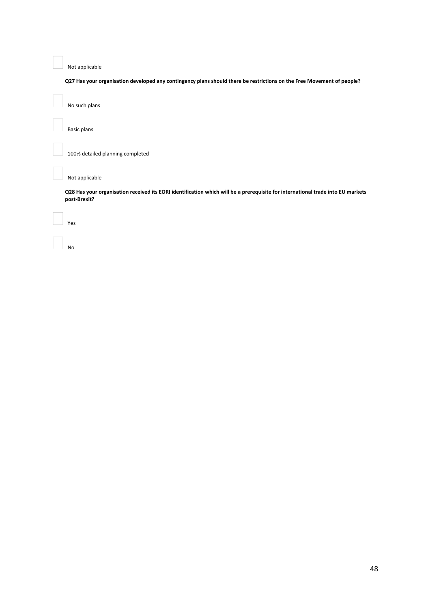Not applicable

**Q27 Has your organisation developed any contingency plans should there be restrictions on the Free Movement of people?**

No such plans

Basic plans

100% detailed planning completed

Not applicable

**Q28 Has your organisation received its EORI identification which will be a prerequisite for international trade into EU markets post-Brexit?**

Yes

No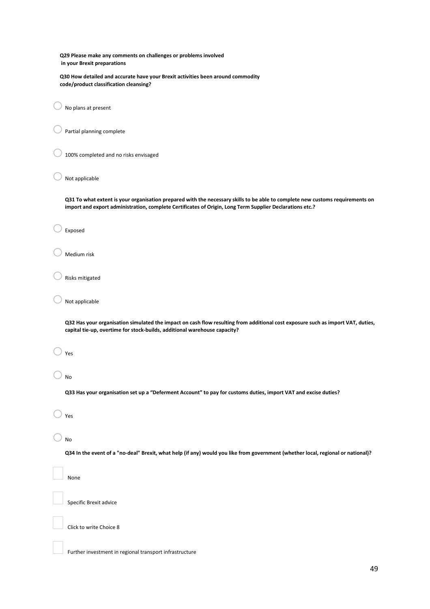**Q29 Please make any comments on challenges or problems involved in your Brexit preparations** 

 **Q30 How detailed and accurate have your Brexit activities been around commodity code/product classification cleansing?** 

 $\bigcirc$  No plans at present

 $\bigcirc$  Partial planning complete

100% completed and no risks envisaged

Not applicable

**Q31 To what extent is your organisation prepared with the necessary skills to be able to complete new customs requirements on import and export administration, complete Certificates of Origin, Long Term Supplier Declarations etc.?** 

Exposed

Medium risk

Risks mitigated

 $\Box$  Not applicable

**Q32 Has your organisation simulated the impact on cash flow resulting from additional cost exposure such as import VAT, duties, capital tie-up, overtime for stock-builds, additional warehouse capacity?** 

 $\bigcirc$  Yes

 $\bigcirc$  No

**Q33 Has your organisation set up a "Deferment Account" to pay for customs duties, import VAT and excise duties?**

 $\bigcirc$  Yes

 $\bigcirc$  No

**Q34 In the event of a "no-deal" Brexit, what help (if any) would you like from government (whether local, regional or national)?** 

None

Specific Brexit advice

Click to write Choice 8

Further investment in regional transport infrastructure